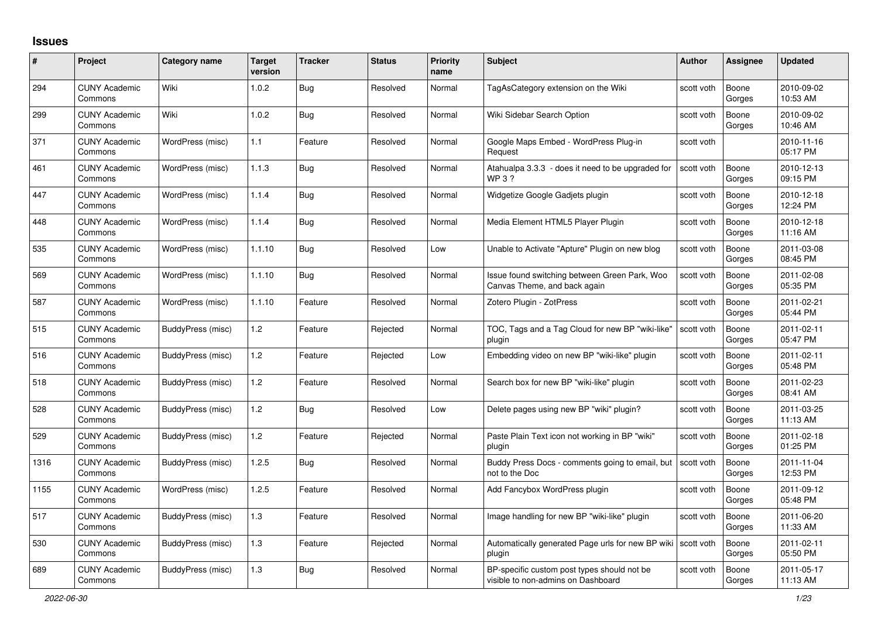## **Issues**

| #    | Project                         | Category name     | <b>Target</b><br>version | <b>Tracker</b> | <b>Status</b> | <b>Priority</b><br>name | <b>Subject</b>                                                                    | Author     | <b>Assignee</b> | <b>Updated</b>         |
|------|---------------------------------|-------------------|--------------------------|----------------|---------------|-------------------------|-----------------------------------------------------------------------------------|------------|-----------------|------------------------|
| 294  | <b>CUNY Academic</b><br>Commons | Wiki              | 1.0.2                    | <b>Bug</b>     | Resolved      | Normal                  | TagAsCategory extension on the Wiki                                               | scott voth | Boone<br>Gorges | 2010-09-02<br>10:53 AM |
| 299  | <b>CUNY Academic</b><br>Commons | Wiki              | 1.0.2                    | Bug            | Resolved      | Normal                  | Wiki Sidebar Search Option                                                        | scott voth | Boone<br>Gorges | 2010-09-02<br>10:46 AM |
| 371  | <b>CUNY Academic</b><br>Commons | WordPress (misc)  | 1.1                      | Feature        | Resolved      | Normal                  | Google Maps Embed - WordPress Plug-in<br>Request                                  | scott voth |                 | 2010-11-16<br>05:17 PM |
| 461  | <b>CUNY Academic</b><br>Commons | WordPress (misc)  | 1.1.3                    | <b>Bug</b>     | Resolved      | Normal                  | Atahualpa 3.3.3 - does it need to be upgraded for<br><b>WP3?</b>                  | scott voth | Boone<br>Gorges | 2010-12-13<br>09:15 PM |
| 447  | <b>CUNY Academic</b><br>Commons | WordPress (misc)  | 1.1.4                    | <b>Bug</b>     | Resolved      | Normal                  | Widgetize Google Gadjets plugin                                                   | scott voth | Boone<br>Gorges | 2010-12-18<br>12:24 PM |
| 448  | <b>CUNY Academic</b><br>Commons | WordPress (misc)  | 1.1.4                    | <b>Bug</b>     | Resolved      | Normal                  | Media Element HTML5 Player Plugin                                                 | scott voth | Boone<br>Gorges | 2010-12-18<br>11:16 AM |
| 535  | <b>CUNY Academic</b><br>Commons | WordPress (misc)  | 1.1.10                   | <b>Bug</b>     | Resolved      | Low                     | Unable to Activate "Apture" Plugin on new blog                                    | scott voth | Boone<br>Gorges | 2011-03-08<br>08:45 PM |
| 569  | <b>CUNY Academic</b><br>Commons | WordPress (misc)  | 1.1.10                   | <b>Bug</b>     | Resolved      | Normal                  | Issue found switching between Green Park, Woo<br>Canvas Theme, and back again     | scott voth | Boone<br>Gorges | 2011-02-08<br>05:35 PM |
| 587  | <b>CUNY Academic</b><br>Commons | WordPress (misc)  | 1.1.10                   | Feature        | Resolved      | Normal                  | Zotero Plugin - ZotPress                                                          | scott voth | Boone<br>Gorges | 2011-02-21<br>05:44 PM |
| 515  | <b>CUNY Academic</b><br>Commons | BuddyPress (misc) | 1.2                      | Feature        | Rejected      | Normal                  | TOC, Tags and a Tag Cloud for new BP "wiki-like"<br>plugin                        | scott voth | Boone<br>Gorges | 2011-02-11<br>05:47 PM |
| 516  | <b>CUNY Academic</b><br>Commons | BuddyPress (misc) | 1.2                      | Feature        | Rejected      | Low                     | Embedding video on new BP "wiki-like" plugin                                      | scott voth | Boone<br>Gorges | 2011-02-11<br>05:48 PM |
| 518  | <b>CUNY Academic</b><br>Commons | BuddyPress (misc) | 1.2                      | Feature        | Resolved      | Normal                  | Search box for new BP "wiki-like" plugin                                          | scott voth | Boone<br>Gorges | 2011-02-23<br>08:41 AM |
| 528  | <b>CUNY Academic</b><br>Commons | BuddyPress (misc) | 1.2                      | Bug            | Resolved      | Low                     | Delete pages using new BP "wiki" plugin?                                          | scott voth | Boone<br>Gorges | 2011-03-25<br>11:13 AM |
| 529  | <b>CUNY Academic</b><br>Commons | BuddyPress (misc) | 1.2                      | Feature        | Rejected      | Normal                  | Paste Plain Text icon not working in BP "wiki"<br>plugin                          | scott voth | Boone<br>Gorges | 2011-02-18<br>01:25 PM |
| 1316 | <b>CUNY Academic</b><br>Commons | BuddyPress (misc) | 1.2.5                    | <b>Bug</b>     | Resolved      | Normal                  | Buddy Press Docs - comments going to email, but<br>not to the Doc                 | scott voth | Boone<br>Gorges | 2011-11-04<br>12:53 PM |
| 1155 | <b>CUNY Academic</b><br>Commons | WordPress (misc)  | 1.2.5                    | Feature        | Resolved      | Normal                  | Add Fancybox WordPress plugin                                                     | scott voth | Boone<br>Gorges | 2011-09-12<br>05:48 PM |
| 517  | <b>CUNY Academic</b><br>Commons | BuddyPress (misc) | 1.3                      | Feature        | Resolved      | Normal                  | Image handling for new BP "wiki-like" plugin                                      | scott voth | Boone<br>Gorges | 2011-06-20<br>11:33 AM |
| 530  | <b>CUNY Academic</b><br>Commons | BuddyPress (misc) | 1.3                      | Feature        | Rejected      | Normal                  | Automatically generated Page urls for new BP wiki   scott voth<br>plugin          |            | Boone<br>Gorges | 2011-02-11<br>05:50 PM |
| 689  | <b>CUNY Academic</b><br>Commons | BuddyPress (misc) | 1.3                      | <b>Bug</b>     | Resolved      | Normal                  | BP-specific custom post types should not be<br>visible to non-admins on Dashboard | scott voth | Boone<br>Gorges | 2011-05-17<br>11:13 AM |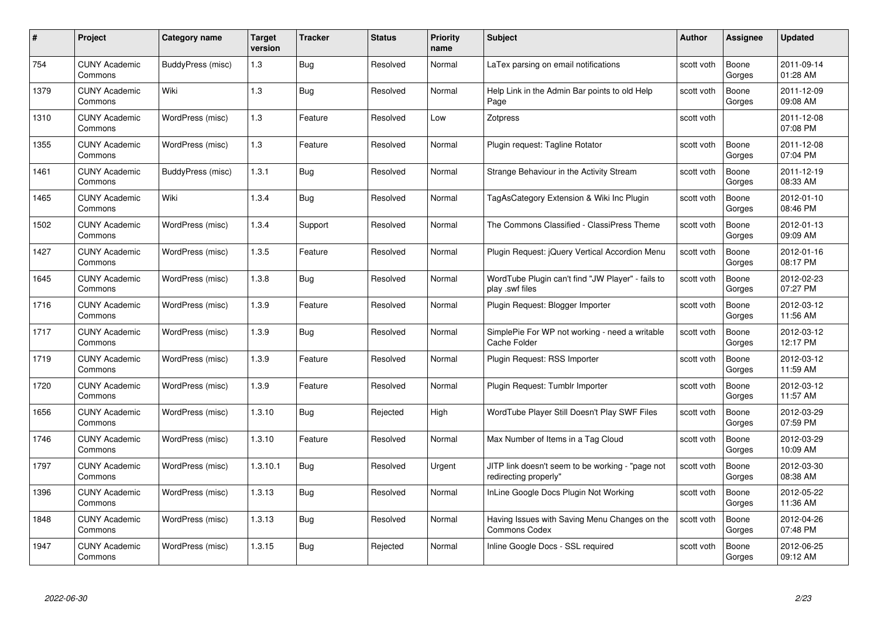| #    | Project                         | <b>Category name</b> | Target<br>version | <b>Tracker</b> | <b>Status</b> | <b>Priority</b><br>name | <b>Subject</b>                                                            | <b>Author</b> | <b>Assignee</b> | <b>Updated</b>         |
|------|---------------------------------|----------------------|-------------------|----------------|---------------|-------------------------|---------------------------------------------------------------------------|---------------|-----------------|------------------------|
| 754  | <b>CUNY Academic</b><br>Commons | BuddyPress (misc)    | 1.3               | Bug            | Resolved      | Normal                  | LaTex parsing on email notifications                                      | scott voth    | Boone<br>Gorges | 2011-09-14<br>01:28 AM |
| 1379 | <b>CUNY Academic</b><br>Commons | Wiki                 | 1.3               | <b>Bug</b>     | Resolved      | Normal                  | Help Link in the Admin Bar points to old Help<br>Page                     | scott voth    | Boone<br>Gorges | 2011-12-09<br>09:08 AM |
| 1310 | <b>CUNY Academic</b><br>Commons | WordPress (misc)     | $1.3$             | Feature        | Resolved      | Low                     | Zotpress                                                                  | scott voth    |                 | 2011-12-08<br>07:08 PM |
| 1355 | <b>CUNY Academic</b><br>Commons | WordPress (misc)     | 1.3               | Feature        | Resolved      | Normal                  | Plugin request: Tagline Rotator                                           | scott voth    | Boone<br>Gorges | 2011-12-08<br>07:04 PM |
| 1461 | CUNY Academic<br>Commons        | BuddyPress (misc)    | 1.3.1             | Bug            | Resolved      | Normal                  | Strange Behaviour in the Activity Stream                                  | scott voth    | Boone<br>Gorges | 2011-12-19<br>08:33 AM |
| 1465 | <b>CUNY Academic</b><br>Commons | Wiki                 | 1.3.4             | <b>Bug</b>     | Resolved      | Normal                  | TagAsCategory Extension & Wiki Inc Plugin                                 | scott voth    | Boone<br>Gorges | 2012-01-10<br>08:46 PM |
| 1502 | <b>CUNY Academic</b><br>Commons | WordPress (misc)     | 1.3.4             | Support        | Resolved      | Normal                  | The Commons Classified - ClassiPress Theme                                | scott voth    | Boone<br>Gorges | 2012-01-13<br>09:09 AM |
| 1427 | <b>CUNY Academic</b><br>Commons | WordPress (misc)     | 1.3.5             | Feature        | Resolved      | Normal                  | Plugin Request: jQuery Vertical Accordion Menu                            | scott voth    | Boone<br>Gorges | 2012-01-16<br>08:17 PM |
| 1645 | <b>CUNY Academic</b><br>Commons | WordPress (misc)     | 1.3.8             | <b>Bug</b>     | Resolved      | Normal                  | WordTube Plugin can't find "JW Player" - fails to<br>play .swf files      | scott voth    | Boone<br>Gorges | 2012-02-23<br>07:27 PM |
| 1716 | <b>CUNY Academic</b><br>Commons | WordPress (misc)     | 1.3.9             | Feature        | Resolved      | Normal                  | Plugin Request: Blogger Importer                                          | scott voth    | Boone<br>Gorges | 2012-03-12<br>11:56 AM |
| 1717 | CUNY Academic<br>Commons        | WordPress (misc)     | 1.3.9             | Bug            | Resolved      | Normal                  | SimplePie For WP not working - need a writable<br>Cache Folder            | scott voth    | Boone<br>Gorges | 2012-03-12<br>12:17 PM |
| 1719 | <b>CUNY Academic</b><br>Commons | WordPress (misc)     | 1.3.9             | Feature        | Resolved      | Normal                  | Plugin Request: RSS Importer                                              | scott voth    | Boone<br>Gorges | 2012-03-12<br>11:59 AM |
| 1720 | <b>CUNY Academic</b><br>Commons | WordPress (misc)     | 1.3.9             | Feature        | Resolved      | Normal                  | Plugin Request: Tumblr Importer                                           | scott voth    | Boone<br>Gorges | 2012-03-12<br>11:57 AM |
| 1656 | <b>CUNY Academic</b><br>Commons | WordPress (misc)     | 1.3.10            | <b>Bug</b>     | Rejected      | High                    | WordTube Player Still Doesn't Play SWF Files                              | scott voth    | Boone<br>Gorges | 2012-03-29<br>07:59 PM |
| 1746 | <b>CUNY Academic</b><br>Commons | WordPress (misc)     | 1.3.10            | Feature        | Resolved      | Normal                  | Max Number of Items in a Tag Cloud                                        | scott voth    | Boone<br>Gorges | 2012-03-29<br>10:09 AM |
| 1797 | <b>CUNY Academic</b><br>Commons | WordPress (misc)     | 1.3.10.1          | Bug            | Resolved      | Urgent                  | JITP link doesn't seem to be working - "page not<br>redirecting properly" | scott voth    | Boone<br>Gorges | 2012-03-30<br>08:38 AM |
| 1396 | <b>CUNY Academic</b><br>Commons | WordPress (misc)     | 1.3.13            | <b>Bug</b>     | Resolved      | Normal                  | InLine Google Docs Plugin Not Working                                     | scott voth    | Boone<br>Gorges | 2012-05-22<br>11:36 AM |
| 1848 | <b>CUNY Academic</b><br>Commons | WordPress (misc)     | 1.3.13            | <b>Bug</b>     | Resolved      | Normal                  | Having Issues with Saving Menu Changes on the<br><b>Commons Codex</b>     | scott voth    | Boone<br>Gorges | 2012-04-26<br>07:48 PM |
| 1947 | CUNY Academic<br>Commons        | WordPress (misc)     | 1.3.15            | Bug            | Rejected      | Normal                  | Inline Google Docs - SSL required                                         | scott voth    | Boone<br>Gorges | 2012-06-25<br>09:12 AM |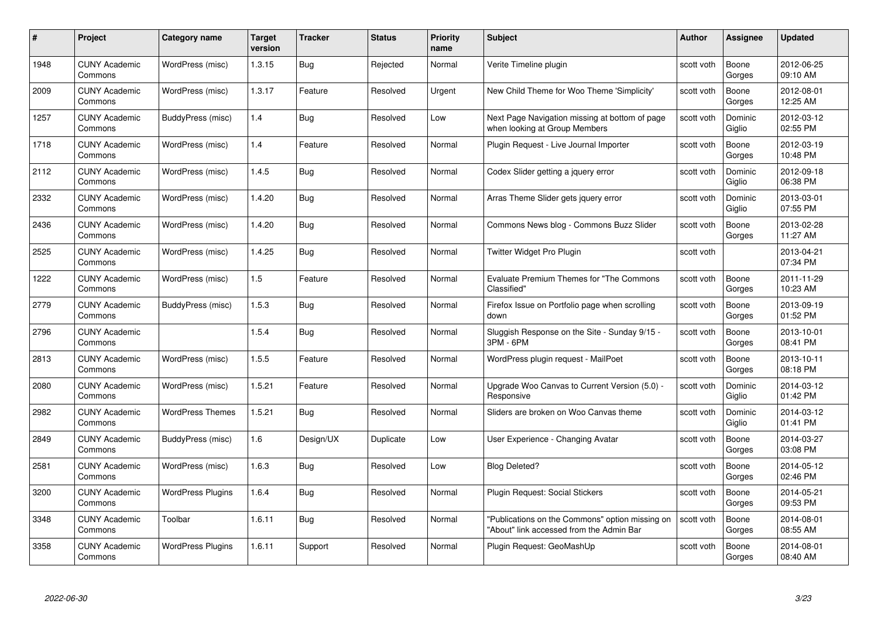| #    | Project                         | Category name            | Target<br>version | <b>Tracker</b> | <b>Status</b> | <b>Priority</b><br>name | <b>Subject</b>                                                                              | Author     | <b>Assignee</b>   | <b>Updated</b>         |
|------|---------------------------------|--------------------------|-------------------|----------------|---------------|-------------------------|---------------------------------------------------------------------------------------------|------------|-------------------|------------------------|
| 1948 | <b>CUNY Academic</b><br>Commons | WordPress (misc)         | 1.3.15            | Bug            | Rejected      | Normal                  | Verite Timeline plugin                                                                      | scott voth | Boone<br>Gorges   | 2012-06-25<br>09:10 AM |
| 2009 | <b>CUNY Academic</b><br>Commons | WordPress (misc)         | 1.3.17            | Feature        | Resolved      | Urgent                  | New Child Theme for Woo Theme 'Simplicity'                                                  | scott voth | Boone<br>Gorges   | 2012-08-01<br>12:25 AM |
| 1257 | <b>CUNY Academic</b><br>Commons | BuddyPress (misc)        | 1.4               | <b>Bug</b>     | Resolved      | Low                     | Next Page Navigation missing at bottom of page<br>when looking at Group Members             | scott voth | Dominic<br>Giglio | 2012-03-12<br>02:55 PM |
| 1718 | <b>CUNY Academic</b><br>Commons | WordPress (misc)         | 1.4               | Feature        | Resolved      | Normal                  | Plugin Request - Live Journal Importer                                                      | scott voth | Boone<br>Gorges   | 2012-03-19<br>10:48 PM |
| 2112 | <b>CUNY Academic</b><br>Commons | WordPress (misc)         | 1.4.5             | <b>Bug</b>     | Resolved      | Normal                  | Codex Slider getting a jquery error                                                         | scott voth | Dominic<br>Giglio | 2012-09-18<br>06:38 PM |
| 2332 | <b>CUNY Academic</b><br>Commons | WordPress (misc)         | 1.4.20            | <b>Bug</b>     | Resolved      | Normal                  | Arras Theme Slider gets jquery error                                                        | scott voth | Dominic<br>Giglio | 2013-03-01<br>07:55 PM |
| 2436 | <b>CUNY Academic</b><br>Commons | WordPress (misc)         | 1.4.20            | Bug            | Resolved      | Normal                  | Commons News blog - Commons Buzz Slider                                                     | scott voth | Boone<br>Gorges   | 2013-02-28<br>11:27 AM |
| 2525 | <b>CUNY Academic</b><br>Commons | WordPress (misc)         | 1.4.25            | Bug            | Resolved      | Normal                  | Twitter Widget Pro Plugin                                                                   | scott voth |                   | 2013-04-21<br>07:34 PM |
| 1222 | <b>CUNY Academic</b><br>Commons | WordPress (misc)         | 1.5               | Feature        | Resolved      | Normal                  | Evaluate Premium Themes for "The Commons<br>Classified"                                     | scott voth | Boone<br>Gorges   | 2011-11-29<br>10:23 AM |
| 2779 | <b>CUNY Academic</b><br>Commons | BuddyPress (misc)        | 1.5.3             | <b>Bug</b>     | Resolved      | Normal                  | Firefox Issue on Portfolio page when scrolling<br>down                                      | scott voth | Boone<br>Gorges   | 2013-09-19<br>01:52 PM |
| 2796 | <b>CUNY Academic</b><br>Commons |                          | 1.5.4             | <b>Bug</b>     | Resolved      | Normal                  | Sluggish Response on the Site - Sunday 9/15 -<br>3PM - 6PM                                  | scott voth | Boone<br>Gorges   | 2013-10-01<br>08:41 PM |
| 2813 | <b>CUNY Academic</b><br>Commons | WordPress (misc)         | 1.5.5             | Feature        | Resolved      | Normal                  | WordPress plugin request - MailPoet                                                         | scott voth | Boone<br>Gorges   | 2013-10-11<br>08:18 PM |
| 2080 | <b>CUNY Academic</b><br>Commons | WordPress (misc)         | 1.5.21            | Feature        | Resolved      | Normal                  | Upgrade Woo Canvas to Current Version (5.0) -<br>Responsive                                 | scott voth | Dominic<br>Giglio | 2014-03-12<br>01:42 PM |
| 2982 | <b>CUNY Academic</b><br>Commons | <b>WordPress Themes</b>  | 1.5.21            | <b>Bug</b>     | Resolved      | Normal                  | Sliders are broken on Woo Canvas theme                                                      | scott voth | Dominic<br>Giglio | 2014-03-12<br>01:41 PM |
| 2849 | <b>CUNY Academic</b><br>Commons | BuddyPress (misc)        | 1.6               | Design/UX      | Duplicate     | Low                     | User Experience - Changing Avatar                                                           | scott voth | Boone<br>Gorges   | 2014-03-27<br>03:08 PM |
| 2581 | <b>CUNY Academic</b><br>Commons | WordPress (misc)         | 1.6.3             | <b>Bug</b>     | Resolved      | Low                     | <b>Blog Deleted?</b>                                                                        | scott voth | Boone<br>Gorges   | 2014-05-12<br>02:46 PM |
| 3200 | <b>CUNY Academic</b><br>Commons | <b>WordPress Plugins</b> | 1.6.4             | Bug            | Resolved      | Normal                  | Plugin Request: Social Stickers                                                             | scott voth | Boone<br>Gorges   | 2014-05-21<br>09:53 PM |
| 3348 | <b>CUNY Academic</b><br>Commons | Toolbar                  | 1.6.11            | <b>Bug</b>     | Resolved      | Normal                  | "Publications on the Commons" option missing on<br>"About" link accessed from the Admin Bar | scott voth | Boone<br>Gorges   | 2014-08-01<br>08:55 AM |
| 3358 | CUNY Academic<br>Commons        | <b>WordPress Plugins</b> | 1.6.11            | Support        | Resolved      | Normal                  | Plugin Request: GeoMashUp                                                                   | scott voth | Boone<br>Gorges   | 2014-08-01<br>08:40 AM |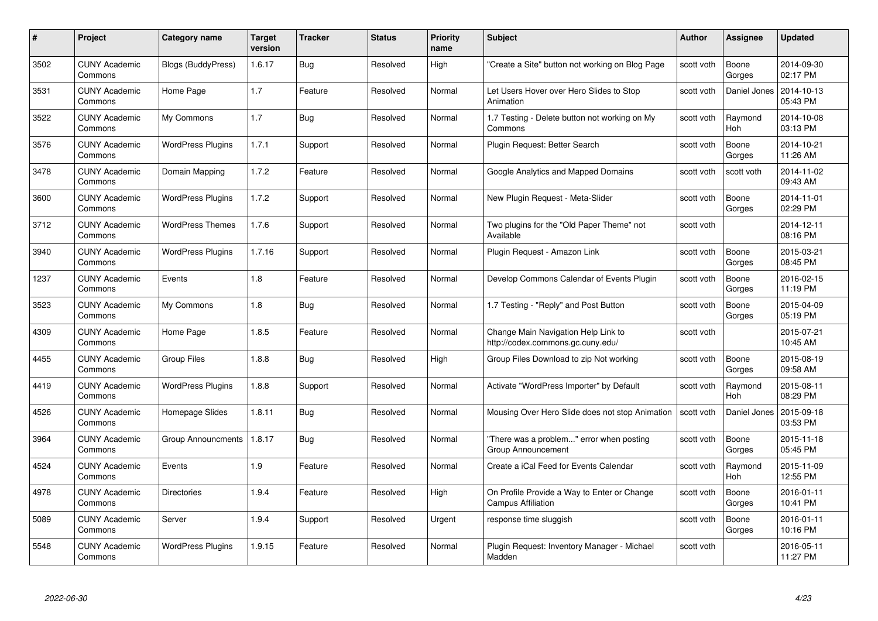| #    | Project                         | Category name            | Target<br>version | <b>Tracker</b> | <b>Status</b> | <b>Priority</b><br>name | <b>Subject</b>                                                           | Author     | <b>Assignee</b>       | <b>Updated</b>         |
|------|---------------------------------|--------------------------|-------------------|----------------|---------------|-------------------------|--------------------------------------------------------------------------|------------|-----------------------|------------------------|
| 3502 | <b>CUNY Academic</b><br>Commons | Blogs (BuddyPress)       | 1.6.17            | Bug            | Resolved      | High                    | "Create a Site" button not working on Blog Page                          | scott voth | Boone<br>Gorges       | 2014-09-30<br>02:17 PM |
| 3531 | <b>CUNY Academic</b><br>Commons | Home Page                | 1.7               | Feature        | Resolved      | Normal                  | Let Users Hover over Hero Slides to Stop<br>Animation                    | scott voth | Daniel Jones          | 2014-10-13<br>05:43 PM |
| 3522 | <b>CUNY Academic</b><br>Commons | My Commons               | 1.7               | <b>Bug</b>     | Resolved      | Normal                  | 1.7 Testing - Delete button not working on My<br>Commons                 | scott voth | Raymond<br>Hoh        | 2014-10-08<br>03:13 PM |
| 3576 | <b>CUNY Academic</b><br>Commons | <b>WordPress Plugins</b> | 1.7.1             | Support        | Resolved      | Normal                  | Plugin Request: Better Search                                            | scott voth | Boone<br>Gorges       | 2014-10-21<br>11:26 AM |
| 3478 | <b>CUNY Academic</b><br>Commons | Domain Mapping           | 1.7.2             | Feature        | Resolved      | Normal                  | Google Analytics and Mapped Domains                                      | scott voth | scott voth            | 2014-11-02<br>09:43 AM |
| 3600 | <b>CUNY Academic</b><br>Commons | <b>WordPress Plugins</b> | 1.7.2             | Support        | Resolved      | Normal                  | New Plugin Request - Meta-Slider                                         | scott voth | Boone<br>Gorges       | 2014-11-01<br>02:29 PM |
| 3712 | <b>CUNY Academic</b><br>Commons | <b>WordPress Themes</b>  | 1.7.6             | Support        | Resolved      | Normal                  | Two plugins for the "Old Paper Theme" not<br>Available                   | scott voth |                       | 2014-12-11<br>08:16 PM |
| 3940 | <b>CUNY Academic</b><br>Commons | <b>WordPress Plugins</b> | 1.7.16            | Support        | Resolved      | Normal                  | Plugin Request - Amazon Link                                             | scott voth | Boone<br>Gorges       | 2015-03-21<br>08:45 PM |
| 1237 | <b>CUNY Academic</b><br>Commons | Events                   | 1.8               | Feature        | Resolved      | Normal                  | Develop Commons Calendar of Events Plugin                                | scott voth | Boone<br>Gorges       | 2016-02-15<br>11:19 PM |
| 3523 | <b>CUNY Academic</b><br>Commons | My Commons               | 1.8               | <b>Bug</b>     | Resolved      | Normal                  | 1.7 Testing - "Reply" and Post Button                                    | scott voth | Boone<br>Gorges       | 2015-04-09<br>05:19 PM |
| 4309 | <b>CUNY Academic</b><br>Commons | Home Page                | 1.8.5             | Feature        | Resolved      | Normal                  | Change Main Navigation Help Link to<br>http://codex.commons.gc.cuny.edu/ | scott voth |                       | 2015-07-21<br>10:45 AM |
| 4455 | <b>CUNY Academic</b><br>Commons | <b>Group Files</b>       | 1.8.8             | <b>Bug</b>     | Resolved      | High                    | Group Files Download to zip Not working                                  | scott voth | Boone<br>Gorges       | 2015-08-19<br>09:58 AM |
| 4419 | <b>CUNY Academic</b><br>Commons | <b>WordPress Plugins</b> | 1.8.8             | Support        | Resolved      | Normal                  | Activate "WordPress Importer" by Default                                 | scott voth | Raymond<br><b>Hoh</b> | 2015-08-11<br>08:29 PM |
| 4526 | <b>CUNY Academic</b><br>Commons | Homepage Slides          | 1.8.11            | Bug            | Resolved      | Normal                  | Mousing Over Hero Slide does not stop Animation                          | scott voth | Daniel Jones          | 2015-09-18<br>03:53 PM |
| 3964 | <b>CUNY Academic</b><br>Commons | Group Announcments       | 1.8.17            | Bug            | Resolved      | Normal                  | "There was a problem" error when posting<br>Group Announcement           | scott voth | Boone<br>Gorges       | 2015-11-18<br>05:45 PM |
| 4524 | <b>CUNY Academic</b><br>Commons | Events                   | 1.9               | Feature        | Resolved      | Normal                  | Create a iCal Feed for Events Calendar                                   | scott voth | Raymond<br><b>Hoh</b> | 2015-11-09<br>12:55 PM |
| 4978 | <b>CUNY Academic</b><br>Commons | <b>Directories</b>       | 1.9.4             | Feature        | Resolved      | High                    | On Profile Provide a Way to Enter or Change<br><b>Campus Affiliation</b> | scott voth | Boone<br>Gorges       | 2016-01-11<br>10:41 PM |
| 5089 | <b>CUNY Academic</b><br>Commons | Server                   | 1.9.4             | Support        | Resolved      | Urgent                  | response time sluggish                                                   | scott voth | Boone<br>Gorges       | 2016-01-11<br>10:16 PM |
| 5548 | CUNY Academic<br>Commons        | <b>WordPress Plugins</b> | 1.9.15            | Feature        | Resolved      | Normal                  | Plugin Request: Inventory Manager - Michael<br>Madden                    | scott voth |                       | 2016-05-11<br>11:27 PM |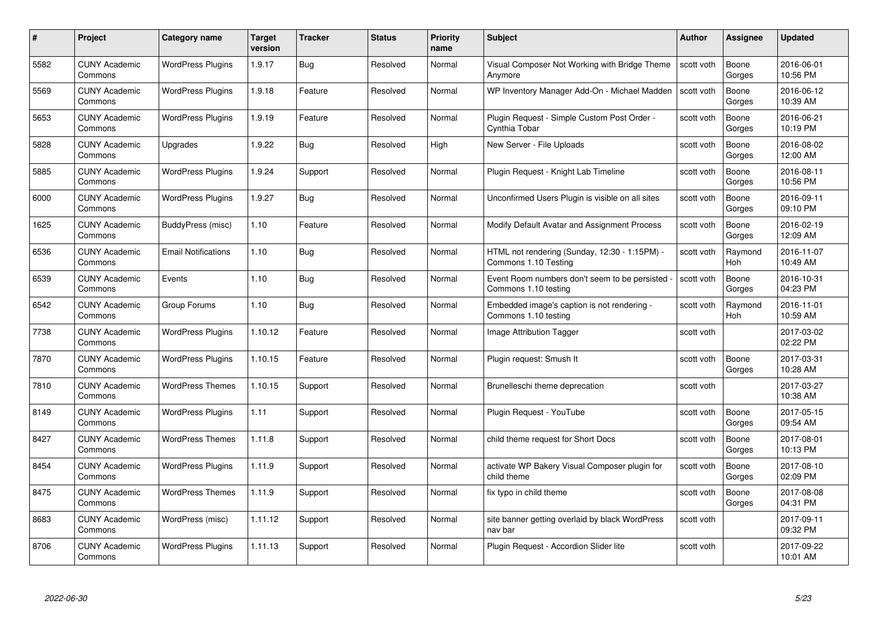| #    | Project                         | <b>Category name</b>       | Target<br>version | <b>Tracker</b> | <b>Status</b> | <b>Priority</b><br>name | <b>Subject</b>                                                        | <b>Author</b> | <b>Assignee</b> | <b>Updated</b>         |
|------|---------------------------------|----------------------------|-------------------|----------------|---------------|-------------------------|-----------------------------------------------------------------------|---------------|-----------------|------------------------|
| 5582 | <b>CUNY Academic</b><br>Commons | <b>WordPress Plugins</b>   | 1.9.17            | Bug            | Resolved      | Normal                  | Visual Composer Not Working with Bridge Theme<br>Anymore              | scott voth    | Boone<br>Gorges | 2016-06-01<br>10:56 PM |
| 5569 | <b>CUNY Academic</b><br>Commons | <b>WordPress Plugins</b>   | 1.9.18            | Feature        | Resolved      | Normal                  | WP Inventory Manager Add-On - Michael Madden                          | scott voth    | Boone<br>Gorges | 2016-06-12<br>10:39 AM |
| 5653 | <b>CUNY Academic</b><br>Commons | <b>WordPress Plugins</b>   | 1.9.19            | Feature        | Resolved      | Normal                  | Plugin Request - Simple Custom Post Order -<br>Cynthia Tobar          | scott voth    | Boone<br>Gorges | 2016-06-21<br>10:19 PM |
| 5828 | <b>CUNY Academic</b><br>Commons | Upgrades                   | 1.9.22            | Bug            | Resolved      | High                    | New Server - File Uploads                                             | scott voth    | Boone<br>Gorges | 2016-08-02<br>12:00 AM |
| 5885 | <b>CUNY Academic</b><br>Commons | <b>WordPress Plugins</b>   | 1.9.24            | Support        | Resolved      | Normal                  | Plugin Request - Knight Lab Timeline                                  | scott voth    | Boone<br>Gorges | 2016-08-11<br>10:56 PM |
| 6000 | <b>CUNY Academic</b><br>Commons | <b>WordPress Plugins</b>   | 1.9.27            | <b>Bug</b>     | Resolved      | Normal                  | Unconfirmed Users Plugin is visible on all sites                      | scott voth    | Boone<br>Gorges | 2016-09-11<br>09:10 PM |
| 1625 | <b>CUNY Academic</b><br>Commons | BuddyPress (misc)          | 1.10              | Feature        | Resolved      | Normal                  | Modify Default Avatar and Assignment Process                          | scott voth    | Boone<br>Gorges | 2016-02-19<br>12:09 AM |
| 6536 | <b>CUNY Academic</b><br>Commons | <b>Email Notifications</b> | 1.10              | <b>Bug</b>     | Resolved      | Normal                  | HTML not rendering (Sunday, 12:30 - 1:15PM) -<br>Commons 1.10 Testing | scott voth    | Raymond<br>Hoh  | 2016-11-07<br>10:49 AM |
| 6539 | <b>CUNY Academic</b><br>Commons | Events                     | 1.10              | Bug            | Resolved      | Normal                  | Event Room numbers don't seem to be persisted<br>Commons 1.10 testing | scott voth    | Boone<br>Gorges | 2016-10-31<br>04:23 PM |
| 6542 | <b>CUNY Academic</b><br>Commons | Group Forums               | 1.10              | <b>Bug</b>     | Resolved      | Normal                  | Embedded image's caption is not rendering -<br>Commons 1.10 testing   | scott voth    | Raymond<br>Hoh  | 2016-11-01<br>10:59 AM |
| 7738 | CUNY Academic<br>Commons        | <b>WordPress Plugins</b>   | 1.10.12           | Feature        | Resolved      | Normal                  | Image Attribution Tagger                                              | scott voth    |                 | 2017-03-02<br>02:22 PM |
| 7870 | <b>CUNY Academic</b><br>Commons | <b>WordPress Plugins</b>   | 1.10.15           | Feature        | Resolved      | Normal                  | Plugin request: Smush It                                              | scott voth    | Boone<br>Gorges | 2017-03-31<br>10:28 AM |
| 7810 | <b>CUNY Academic</b><br>Commons | <b>WordPress Themes</b>    | 1.10.15           | Support        | Resolved      | Normal                  | Brunelleschi theme deprecation                                        | scott voth    |                 | 2017-03-27<br>10:38 AM |
| 8149 | <b>CUNY Academic</b><br>Commons | <b>WordPress Plugins</b>   | 1.11              | Support        | Resolved      | Normal                  | Plugin Request - YouTube                                              | scott voth    | Boone<br>Gorges | 2017-05-15<br>09:54 AM |
| 8427 | <b>CUNY Academic</b><br>Commons | <b>WordPress Themes</b>    | 1.11.8            | Support        | Resolved      | Normal                  | child theme request for Short Docs                                    | scott voth    | Boone<br>Gorges | 2017-08-01<br>10:13 PM |
| 8454 | <b>CUNY Academic</b><br>Commons | <b>WordPress Plugins</b>   | 1.11.9            | Support        | Resolved      | Normal                  | activate WP Bakery Visual Composer plugin for<br>child theme          | scott voth    | Boone<br>Gorges | 2017-08-10<br>02:09 PM |
| 8475 | <b>CUNY Academic</b><br>Commons | <b>WordPress Themes</b>    | 1.11.9            | Support        | Resolved      | Normal                  | fix typo in child theme                                               | scott voth    | Boone<br>Gorges | 2017-08-08<br>04:31 PM |
| 8683 | <b>CUNY Academic</b><br>Commons | WordPress (misc)           | 1.11.12           | Support        | Resolved      | Normal                  | site banner getting overlaid by black WordPress<br>nav bar            | scott voth    |                 | 2017-09-11<br>09:32 PM |
| 8706 | <b>CUNY Academic</b><br>Commons | <b>WordPress Plugins</b>   | 1.11.13           | Support        | Resolved      | Normal                  | Plugin Request - Accordion Slider lite                                | scott voth    |                 | 2017-09-22<br>10:01 AM |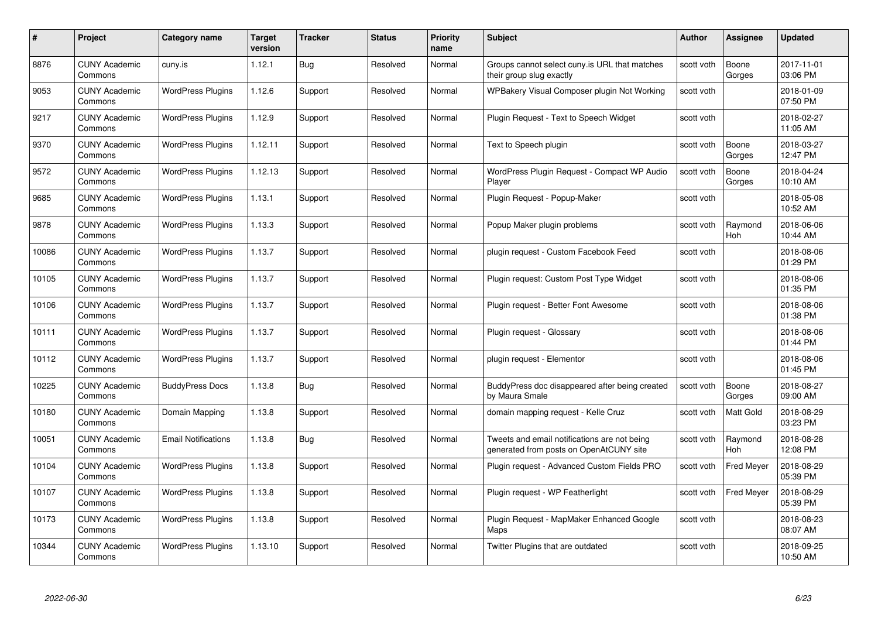| #     | Project                         | <b>Category name</b>       | <b>Target</b><br>version | <b>Tracker</b> | <b>Status</b> | <b>Priority</b><br>name | <b>Subject</b>                                                                          | <b>Author</b> | <b>Assignee</b>   | <b>Updated</b>         |
|-------|---------------------------------|----------------------------|--------------------------|----------------|---------------|-------------------------|-----------------------------------------------------------------------------------------|---------------|-------------------|------------------------|
| 8876  | <b>CUNY Academic</b><br>Commons | cuny.is                    | 1.12.1                   | Bug            | Resolved      | Normal                  | Groups cannot select cuny is URL that matches<br>their group slug exactly               | scott voth    | Boone<br>Gorges   | 2017-11-01<br>03:06 PM |
| 9053  | <b>CUNY Academic</b><br>Commons | <b>WordPress Plugins</b>   | 1.12.6                   | Support        | Resolved      | Normal                  | WPBakery Visual Composer plugin Not Working                                             | scott voth    |                   | 2018-01-09<br>07:50 PM |
| 9217  | <b>CUNY Academic</b><br>Commons | <b>WordPress Plugins</b>   | 1.12.9                   | Support        | Resolved      | Normal                  | Plugin Request - Text to Speech Widget                                                  | scott voth    |                   | 2018-02-27<br>11:05 AM |
| 9370  | <b>CUNY Academic</b><br>Commons | <b>WordPress Plugins</b>   | 1.12.11                  | Support        | Resolved      | Normal                  | Text to Speech plugin                                                                   | scott voth    | Boone<br>Gorges   | 2018-03-27<br>12:47 PM |
| 9572  | <b>CUNY Academic</b><br>Commons | <b>WordPress Plugins</b>   | 1.12.13                  | Support        | Resolved      | Normal                  | WordPress Plugin Request - Compact WP Audio<br>Player                                   | scott voth    | Boone<br>Gorges   | 2018-04-24<br>10:10 AM |
| 9685  | <b>CUNY Academic</b><br>Commons | <b>WordPress Plugins</b>   | 1.13.1                   | Support        | Resolved      | Normal                  | Plugin Request - Popup-Maker                                                            | scott voth    |                   | 2018-05-08<br>10:52 AM |
| 9878  | <b>CUNY Academic</b><br>Commons | <b>WordPress Plugins</b>   | 1.13.3                   | Support        | Resolved      | Normal                  | Popup Maker plugin problems                                                             | scott voth    | Raymond<br>Hoh    | 2018-06-06<br>10:44 AM |
| 10086 | <b>CUNY Academic</b><br>Commons | <b>WordPress Plugins</b>   | 1.13.7                   | Support        | Resolved      | Normal                  | plugin request - Custom Facebook Feed                                                   | scott voth    |                   | 2018-08-06<br>01:29 PM |
| 10105 | <b>CUNY Academic</b><br>Commons | <b>WordPress Plugins</b>   | 1.13.7                   | Support        | Resolved      | Normal                  | Plugin request: Custom Post Type Widget                                                 | scott voth    |                   | 2018-08-06<br>01:35 PM |
| 10106 | <b>CUNY Academic</b><br>Commons | <b>WordPress Plugins</b>   | 1.13.7                   | Support        | Resolved      | Normal                  | Plugin request - Better Font Awesome                                                    | scott voth    |                   | 2018-08-06<br>01:38 PM |
| 10111 | CUNY Academic<br>Commons        | <b>WordPress Plugins</b>   | 1.13.7                   | Support        | Resolved      | Normal                  | Plugin request - Glossary                                                               | scott voth    |                   | 2018-08-06<br>01:44 PM |
| 10112 | <b>CUNY Academic</b><br>Commons | <b>WordPress Plugins</b>   | 1.13.7                   | Support        | Resolved      | Normal                  | plugin request - Elementor                                                              | scott voth    |                   | 2018-08-06<br>01:45 PM |
| 10225 | <b>CUNY Academic</b><br>Commons | <b>BuddyPress Docs</b>     | 1.13.8                   | <b>Bug</b>     | Resolved      | Normal                  | BuddyPress doc disappeared after being created<br>by Maura Smale                        | scott voth    | Boone<br>Gorges   | 2018-08-27<br>09:00 AM |
| 10180 | <b>CUNY Academic</b><br>Commons | Domain Mapping             | 1.13.8                   | Support        | Resolved      | Normal                  | domain mapping request - Kelle Cruz                                                     | scott voth    | Matt Gold         | 2018-08-29<br>03:23 PM |
| 10051 | <b>CUNY Academic</b><br>Commons | <b>Email Notifications</b> | 1.13.8                   | Bug            | Resolved      | Normal                  | Tweets and email notifications are not being<br>generated from posts on OpenAtCUNY site | scott voth    | Raymond<br>Hoh    | 2018-08-28<br>12:08 PM |
| 10104 | <b>CUNY Academic</b><br>Commons | <b>WordPress Plugins</b>   | 1.13.8                   | Support        | Resolved      | Normal                  | Plugin request - Advanced Custom Fields PRO                                             | scott voth    | <b>Fred Meyer</b> | 2018-08-29<br>05:39 PM |
| 10107 | <b>CUNY Academic</b><br>Commons | <b>WordPress Plugins</b>   | 1.13.8                   | Support        | Resolved      | Normal                  | Plugin request - WP Featherlight                                                        | scott voth    | Fred Meyer        | 2018-08-29<br>05:39 PM |
| 10173 | <b>CUNY Academic</b><br>Commons | <b>WordPress Plugins</b>   | 1.13.8                   | Support        | Resolved      | Normal                  | Plugin Reguest - MapMaker Enhanced Google<br>Maps                                       | scott voth    |                   | 2018-08-23<br>08:07 AM |
| 10344 | <b>CUNY Academic</b><br>Commons | <b>WordPress Plugins</b>   | 1.13.10                  | Support        | Resolved      | Normal                  | Twitter Plugins that are outdated                                                       | scott voth    |                   | 2018-09-25<br>10:50 AM |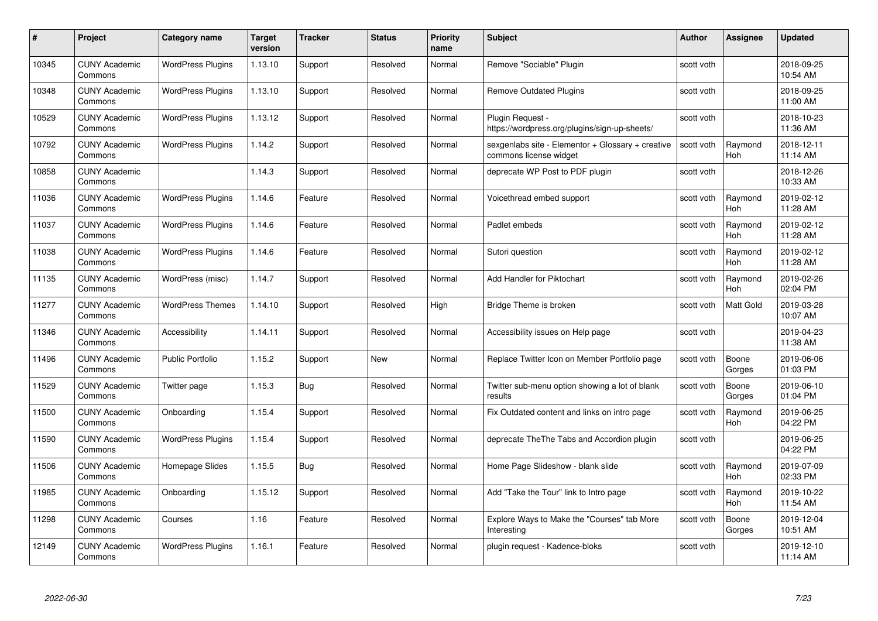| #     | Project                         | <b>Category name</b>     | <b>Target</b><br>version | <b>Tracker</b> | <b>Status</b> | <b>Priority</b><br>name | <b>Subject</b>                                                              | <b>Author</b> | <b>Assignee</b>       | <b>Updated</b>         |
|-------|---------------------------------|--------------------------|--------------------------|----------------|---------------|-------------------------|-----------------------------------------------------------------------------|---------------|-----------------------|------------------------|
| 10345 | <b>CUNY Academic</b><br>Commons | <b>WordPress Plugins</b> | 1.13.10                  | Support        | Resolved      | Normal                  | Remove "Sociable" Plugin                                                    | scott voth    |                       | 2018-09-25<br>10:54 AM |
| 10348 | <b>CUNY Academic</b><br>Commons | <b>WordPress Plugins</b> | 1.13.10                  | Support        | Resolved      | Normal                  | <b>Remove Outdated Plugins</b>                                              | scott voth    |                       | 2018-09-25<br>11:00 AM |
| 10529 | <b>CUNY Academic</b><br>Commons | <b>WordPress Plugins</b> | 1.13.12                  | Support        | Resolved      | Normal                  | Plugin Request -<br>https://wordpress.org/plugins/sign-up-sheets/           | scott voth    |                       | 2018-10-23<br>11:36 AM |
| 10792 | <b>CUNY Academic</b><br>Commons | <b>WordPress Plugins</b> | 1.14.2                   | Support        | Resolved      | Normal                  | sexgenlabs site - Elementor + Glossary + creative<br>commons license widget | scott voth    | Raymond<br><b>Hoh</b> | 2018-12-11<br>11:14 AM |
| 10858 | <b>CUNY Academic</b><br>Commons |                          | 1.14.3                   | Support        | Resolved      | Normal                  | deprecate WP Post to PDF plugin                                             | scott voth    |                       | 2018-12-26<br>10:33 AM |
| 11036 | <b>CUNY Academic</b><br>Commons | <b>WordPress Plugins</b> | 1.14.6                   | Feature        | Resolved      | Normal                  | Voicethread embed support                                                   | scott voth    | Raymond<br><b>Hoh</b> | 2019-02-12<br>11:28 AM |
| 11037 | CUNY Academic<br>Commons        | <b>WordPress Plugins</b> | 1.14.6                   | Feature        | Resolved      | Normal                  | Padlet embeds                                                               | scott voth    | Raymond<br><b>Hoh</b> | 2019-02-12<br>11:28 AM |
| 11038 | <b>CUNY Academic</b><br>Commons | <b>WordPress Plugins</b> | 1.14.6                   | Feature        | Resolved      | Normal                  | Sutori question                                                             | scott voth    | Raymond<br><b>Hoh</b> | 2019-02-12<br>11:28 AM |
| 11135 | <b>CUNY Academic</b><br>Commons | WordPress (misc)         | 1.14.7                   | Support        | Resolved      | Normal                  | Add Handler for Piktochart                                                  | scott voth    | Raymond<br>Hoh        | 2019-02-26<br>02:04 PM |
| 11277 | <b>CUNY Academic</b><br>Commons | <b>WordPress Themes</b>  | 1.14.10                  | Support        | Resolved      | High                    | Bridge Theme is broken                                                      | scott voth    | <b>Matt Gold</b>      | 2019-03-28<br>10:07 AM |
| 11346 | CUNY Academic<br>Commons        | Accessibility            | 1.14.11                  | Support        | Resolved      | Normal                  | Accessibility issues on Help page                                           | scott voth    |                       | 2019-04-23<br>11:38 AM |
| 11496 | <b>CUNY Academic</b><br>Commons | Public Portfolio         | 1.15.2                   | Support        | New           | Normal                  | Replace Twitter Icon on Member Portfolio page                               | scott voth    | Boone<br>Gorges       | 2019-06-06<br>01:03 PM |
| 11529 | <b>CUNY Academic</b><br>Commons | Twitter page             | 1.15.3                   | <b>Bug</b>     | Resolved      | Normal                  | Twitter sub-menu option showing a lot of blank<br>results                   | scott voth    | Boone<br>Gorges       | 2019-06-10<br>01:04 PM |
| 11500 | <b>CUNY Academic</b><br>Commons | Onboarding               | 1.15.4                   | Support        | Resolved      | Normal                  | Fix Outdated content and links on intro page                                | scott voth    | Raymond<br><b>Hoh</b> | 2019-06-25<br>04:22 PM |
| 11590 | <b>CUNY Academic</b><br>Commons | <b>WordPress Plugins</b> | 1.15.4                   | Support        | Resolved      | Normal                  | deprecate TheThe Tabs and Accordion plugin                                  | scott voth    |                       | 2019-06-25<br>04:22 PM |
| 11506 | <b>CUNY Academic</b><br>Commons | Homepage Slides          | 1.15.5                   | Bug            | Resolved      | Normal                  | Home Page Slideshow - blank slide                                           | scott voth    | Raymond<br>Hoh        | 2019-07-09<br>02:33 PM |
| 11985 | <b>CUNY Academic</b><br>Commons | Onboarding               | 1.15.12                  | Support        | Resolved      | Normal                  | Add "Take the Tour" link to Intro page                                      | scott voth    | Raymond<br>Hoh        | 2019-10-22<br>11:54 AM |
| 11298 | <b>CUNY Academic</b><br>Commons | Courses                  | 1.16                     | Feature        | Resolved      | Normal                  | Explore Ways to Make the "Courses" tab More<br>Interesting                  | scott voth    | Boone<br>Gorges       | 2019-12-04<br>10:51 AM |
| 12149 | <b>CUNY Academic</b><br>Commons | <b>WordPress Plugins</b> | 1.16.1                   | Feature        | Resolved      | Normal                  | plugin request - Kadence-bloks                                              | scott voth    |                       | 2019-12-10<br>11:14 AM |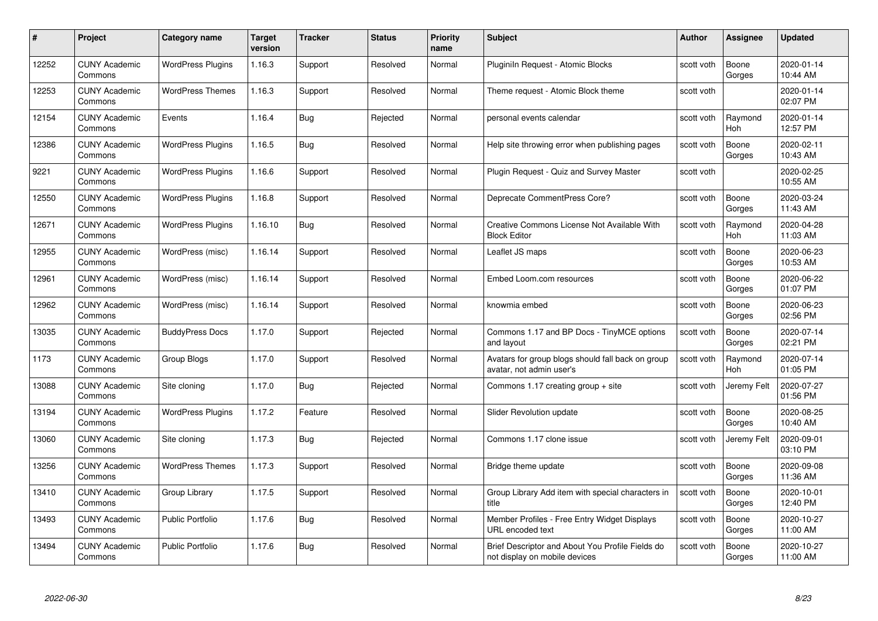| #     | Project                         | <b>Category name</b>     | Target<br>version | <b>Tracker</b> | <b>Status</b> | <b>Priority</b><br>name | <b>Subject</b>                                                                    | <b>Author</b> | <b>Assignee</b> | <b>Updated</b>         |
|-------|---------------------------------|--------------------------|-------------------|----------------|---------------|-------------------------|-----------------------------------------------------------------------------------|---------------|-----------------|------------------------|
| 12252 | <b>CUNY Academic</b><br>Commons | <b>WordPress Plugins</b> | 1.16.3            | Support        | Resolved      | Normal                  | Pluginiln Request - Atomic Blocks                                                 | scott voth    | Boone<br>Gorges | 2020-01-14<br>10:44 AM |
| 12253 | <b>CUNY Academic</b><br>Commons | <b>WordPress Themes</b>  | 1.16.3            | Support        | Resolved      | Normal                  | Theme request - Atomic Block theme                                                | scott voth    |                 | 2020-01-14<br>02:07 PM |
| 12154 | <b>CUNY Academic</b><br>Commons | Events                   | 1.16.4            | Bug            | Rejected      | Normal                  | personal events calendar                                                          | scott voth    | Raymond<br>Hoh  | 2020-01-14<br>12:57 PM |
| 12386 | <b>CUNY Academic</b><br>Commons | <b>WordPress Plugins</b> | 1.16.5            | Bug            | Resolved      | Normal                  | Help site throwing error when publishing pages                                    | scott voth    | Boone<br>Gorges | 2020-02-11<br>10:43 AM |
| 9221  | <b>CUNY Academic</b><br>Commons | <b>WordPress Plugins</b> | 1.16.6            | Support        | Resolved      | Normal                  | Plugin Request - Quiz and Survey Master                                           | scott voth    |                 | 2020-02-25<br>10:55 AM |
| 12550 | <b>CUNY Academic</b><br>Commons | <b>WordPress Plugins</b> | 1.16.8            | Support        | Resolved      | Normal                  | Deprecate CommentPress Core?                                                      | scott voth    | Boone<br>Gorges | 2020-03-24<br>11:43 AM |
| 12671 | <b>CUNY Academic</b><br>Commons | <b>WordPress Plugins</b> | 1.16.10           | Bug            | Resolved      | Normal                  | Creative Commons License Not Available With<br><b>Block Editor</b>                | scott voth    | Raymond<br>Hoh  | 2020-04-28<br>11:03 AM |
| 12955 | <b>CUNY Academic</b><br>Commons | WordPress (misc)         | 1.16.14           | Support        | Resolved      | Normal                  | Leaflet JS maps                                                                   | scott voth    | Boone<br>Gorges | 2020-06-23<br>10:53 AM |
| 12961 | <b>CUNY Academic</b><br>Commons | WordPress (misc)         | 1.16.14           | Support        | Resolved      | Normal                  | Embed Loom.com resources                                                          | scott voth    | Boone<br>Gorges | 2020-06-22<br>01:07 PM |
| 12962 | <b>CUNY Academic</b><br>Commons | WordPress (misc)         | 1.16.14           | Support        | Resolved      | Normal                  | knowmia embed                                                                     | scott voth    | Boone<br>Gorges | 2020-06-23<br>02:56 PM |
| 13035 | CUNY Academic<br>Commons        | <b>BuddyPress Docs</b>   | 1.17.0            | Support        | Rejected      | Normal                  | Commons 1.17 and BP Docs - TinyMCE options<br>and layout                          | scott voth    | Boone<br>Gorges | 2020-07-14<br>02:21 PM |
| 1173  | <b>CUNY Academic</b><br>Commons | Group Blogs              | 1.17.0            | Support        | Resolved      | Normal                  | Avatars for group blogs should fall back on group<br>avatar, not admin user's     | scott voth    | Raymond<br>Hoh  | 2020-07-14<br>01:05 PM |
| 13088 | <b>CUNY Academic</b><br>Commons | Site cloning             | 1.17.0            | <b>Bug</b>     | Rejected      | Normal                  | Commons 1.17 creating group $+$ site                                              | scott voth    | Jeremy Felt     | 2020-07-27<br>01:56 PM |
| 13194 | <b>CUNY Academic</b><br>Commons | <b>WordPress Plugins</b> | 1.17.2            | Feature        | Resolved      | Normal                  | Slider Revolution update                                                          | scott voth    | Boone<br>Gorges | 2020-08-25<br>10:40 AM |
| 13060 | <b>CUNY Academic</b><br>Commons | Site cloning             | 1.17.3            | <b>Bug</b>     | Rejected      | Normal                  | Commons 1.17 clone issue                                                          | scott voth    | Jeremy Felt     | 2020-09-01<br>03:10 PM |
| 13256 | <b>CUNY Academic</b><br>Commons | <b>WordPress Themes</b>  | 1.17.3            | Support        | Resolved      | Normal                  | Bridge theme update                                                               | scott voth    | Boone<br>Gorges | 2020-09-08<br>11:36 AM |
| 13410 | <b>CUNY Academic</b><br>Commons | Group Library            | 1.17.5            | Support        | Resolved      | Normal                  | Group Library Add item with special characters in<br>title                        | scott voth    | Boone<br>Gorges | 2020-10-01<br>12:40 PM |
| 13493 | <b>CUNY Academic</b><br>Commons | <b>Public Portfolio</b>  | 1.17.6            | <b>Bug</b>     | Resolved      | Normal                  | Member Profiles - Free Entry Widget Displays<br>URL encoded text                  | scott voth    | Boone<br>Gorges | 2020-10-27<br>11:00 AM |
| 13494 | CUNY Academic<br>Commons        | <b>Public Portfolio</b>  | 1.17.6            | Bug            | Resolved      | Normal                  | Brief Descriptor and About You Profile Fields do<br>not display on mobile devices | scott voth    | Boone<br>Gorges | 2020-10-27<br>11:00 AM |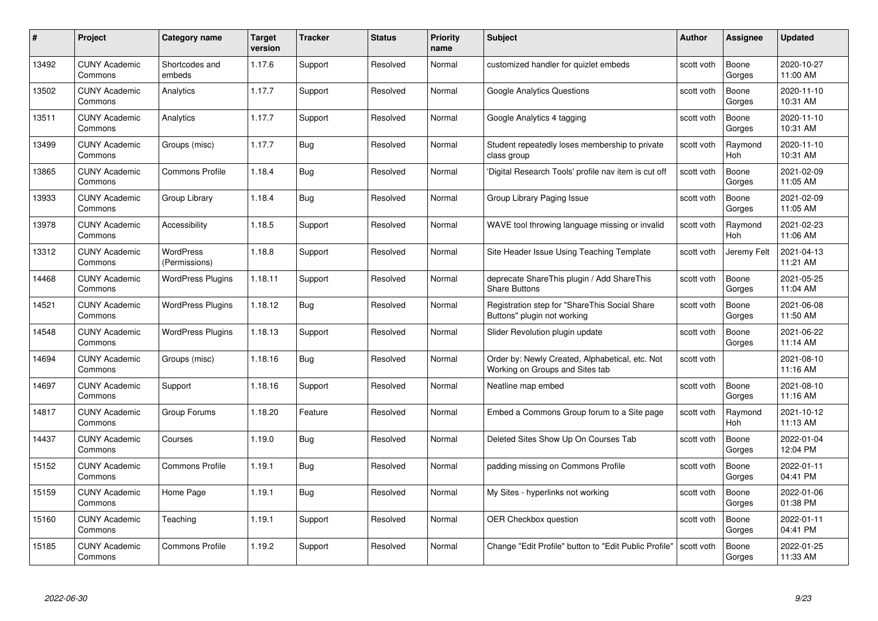| #     | Project                         | <b>Category name</b>       | Target<br>version | <b>Tracker</b> | <b>Status</b> | <b>Priority</b><br>name | <b>Subject</b>                                                                     | <b>Author</b> | Assignee        | <b>Updated</b>         |
|-------|---------------------------------|----------------------------|-------------------|----------------|---------------|-------------------------|------------------------------------------------------------------------------------|---------------|-----------------|------------------------|
| 13492 | <b>CUNY Academic</b><br>Commons | Shortcodes and<br>embeds   | 1.17.6            | Support        | Resolved      | Normal                  | customized handler for quizlet embeds                                              | scott voth    | Boone<br>Gorges | 2020-10-27<br>11:00 AM |
| 13502 | <b>CUNY Academic</b><br>Commons | Analytics                  | 1.17.7            | Support        | Resolved      | Normal                  | <b>Google Analytics Questions</b>                                                  | scott voth    | Boone<br>Gorges | 2020-11-10<br>10:31 AM |
| 13511 | <b>CUNY Academic</b><br>Commons | Analytics                  | 1.17.7            | Support        | Resolved      | Normal                  | Google Analytics 4 tagging                                                         | scott voth    | Boone<br>Gorges | 2020-11-10<br>10:31 AM |
| 13499 | <b>CUNY Academic</b><br>Commons | Groups (misc)              | 1.17.7            | Bug            | Resolved      | Normal                  | Student repeatedly loses membership to private<br>class group                      | scott voth    | Raymond<br>Hoh  | 2020-11-10<br>10:31 AM |
| 13865 | <b>CUNY Academic</b><br>Commons | <b>Commons Profile</b>     | 1.18.4            | Bug            | Resolved      | Normal                  | 'Digital Research Tools' profile nav item is cut off                               | scott voth    | Boone<br>Gorges | 2021-02-09<br>11:05 AM |
| 13933 | <b>CUNY Academic</b><br>Commons | Group Library              | 1.18.4            | <b>Bug</b>     | Resolved      | Normal                  | Group Library Paging Issue                                                         | scott voth    | Boone<br>Gorges | 2021-02-09<br>11:05 AM |
| 13978 | <b>CUNY Academic</b><br>Commons | Accessibility              | 1.18.5            | Support        | Resolved      | Normal                  | WAVE tool throwing language missing or invalid                                     | scott voth    | Raymond<br>Hoh  | 2021-02-23<br>11:06 AM |
| 13312 | <b>CUNY Academic</b><br>Commons | WordPress<br>(Permissions) | 1.18.8            | Support        | Resolved      | Normal                  | Site Header Issue Using Teaching Template                                          | scott voth    | Jeremy Felt     | 2021-04-13<br>11:21 AM |
| 14468 | <b>CUNY Academic</b><br>Commons | <b>WordPress Plugins</b>   | 1.18.11           | Support        | Resolved      | Normal                  | deprecate ShareThis plugin / Add ShareThis<br><b>Share Buttons</b>                 | scott voth    | Boone<br>Gorges | 2021-05-25<br>11:04 AM |
| 14521 | <b>CUNY Academic</b><br>Commons | <b>WordPress Plugins</b>   | 1.18.12           | <b>Bug</b>     | Resolved      | Normal                  | Registration step for "ShareThis Social Share<br>Buttons" plugin not working       | scott voth    | Boone<br>Gorges | 2021-06-08<br>11:50 AM |
| 14548 | CUNY Academic<br>Commons        | <b>WordPress Plugins</b>   | 1.18.13           | Support        | Resolved      | Normal                  | Slider Revolution plugin update                                                    | scott voth    | Boone<br>Gorges | 2021-06-22<br>11:14 AM |
| 14694 | <b>CUNY Academic</b><br>Commons | Groups (misc)              | 1.18.16           | <b>Bug</b>     | Resolved      | Normal                  | Order by: Newly Created, Alphabetical, etc. Not<br>Working on Groups and Sites tab | scott voth    |                 | 2021-08-10<br>11:16 AM |
| 14697 | <b>CUNY Academic</b><br>Commons | Support                    | 1.18.16           | Support        | Resolved      | Normal                  | Neatline map embed                                                                 | scott voth    | Boone<br>Gorges | 2021-08-10<br>11:16 AM |
| 14817 | <b>CUNY Academic</b><br>Commons | Group Forums               | 1.18.20           | Feature        | Resolved      | Normal                  | Embed a Commons Group forum to a Site page                                         | scott voth    | Raymond<br>Hoh  | 2021-10-12<br>11:13 AM |
| 14437 | <b>CUNY Academic</b><br>Commons | Courses                    | 1.19.0            | Bug            | Resolved      | Normal                  | Deleted Sites Show Up On Courses Tab                                               | scott voth    | Boone<br>Gorges | 2022-01-04<br>12:04 PM |
| 15152 | <b>CUNY Academic</b><br>Commons | <b>Commons Profile</b>     | 1.19.1            | Bug            | Resolved      | Normal                  | padding missing on Commons Profile                                                 | scott voth    | Boone<br>Gorges | 2022-01-11<br>04:41 PM |
| 15159 | <b>CUNY Academic</b><br>Commons | Home Page                  | 1.19.1            | Bug            | Resolved      | Normal                  | My Sites - hyperlinks not working                                                  | scott voth    | Boone<br>Gorges | 2022-01-06<br>01:38 PM |
| 15160 | <b>CUNY Academic</b><br>Commons | Teaching                   | 1.19.1            | Support        | Resolved      | Normal                  | <b>OER Checkbox question</b>                                                       | scott voth    | Boone<br>Gorges | 2022-01-11<br>04:41 PM |
| 15185 | <b>CUNY Academic</b><br>Commons | <b>Commons Profile</b>     | 1.19.2            | Support        | Resolved      | Normal                  | Change "Edit Profile" button to "Edit Public Profile"                              | scott voth    | Boone<br>Gorges | 2022-01-25<br>11:33 AM |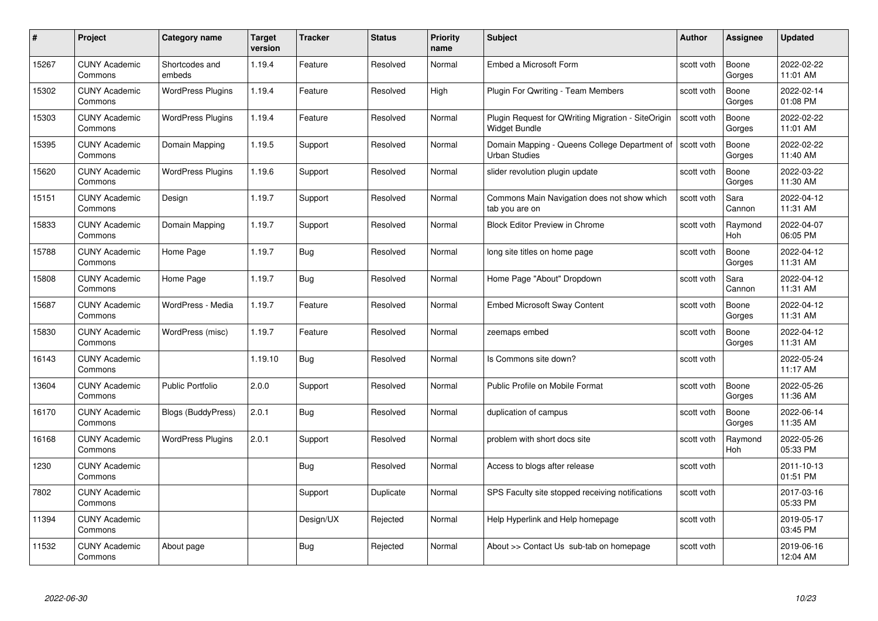| #     | Project                         | <b>Category name</b>     | <b>Target</b><br>version | <b>Tracker</b> | <b>Status</b> | <b>Priority</b><br>name | <b>Subject</b>                                                        | <b>Author</b> | Assignee        | <b>Updated</b>         |
|-------|---------------------------------|--------------------------|--------------------------|----------------|---------------|-------------------------|-----------------------------------------------------------------------|---------------|-----------------|------------------------|
| 15267 | <b>CUNY Academic</b><br>Commons | Shortcodes and<br>embeds | 1.19.4                   | Feature        | Resolved      | Normal                  | Embed a Microsoft Form                                                | scott voth    | Boone<br>Gorges | 2022-02-22<br>11:01 AM |
| 15302 | <b>CUNY Academic</b><br>Commons | <b>WordPress Plugins</b> | 1.19.4                   | Feature        | Resolved      | High                    | Plugin For Qwriting - Team Members                                    | scott voth    | Boone<br>Gorges | 2022-02-14<br>01:08 PM |
| 15303 | <b>CUNY Academic</b><br>Commons | <b>WordPress Plugins</b> | 1.19.4                   | Feature        | Resolved      | Normal                  | Plugin Request for QWriting Migration - SiteOrigin<br>Widget Bundle   | scott voth    | Boone<br>Gorges | 2022-02-22<br>11:01 AM |
| 15395 | <b>CUNY Academic</b><br>Commons | Domain Mapping           | 1.19.5                   | Support        | Resolved      | Normal                  | Domain Mapping - Queens College Department of<br><b>Urban Studies</b> | scott voth    | Boone<br>Gorges | 2022-02-22<br>11:40 AM |
| 15620 | <b>CUNY Academic</b><br>Commons | <b>WordPress Plugins</b> | 1.19.6                   | Support        | Resolved      | Normal                  | slider revolution plugin update                                       | scott voth    | Boone<br>Gorges | 2022-03-22<br>11:30 AM |
| 15151 | <b>CUNY Academic</b><br>Commons | Design                   | 1.19.7                   | Support        | Resolved      | Normal                  | Commons Main Navigation does not show which<br>tab you are on         | scott voth    | Sara<br>Cannon  | 2022-04-12<br>11:31 AM |
| 15833 | <b>CUNY Academic</b><br>Commons | Domain Mapping           | 1.19.7                   | Support        | Resolved      | Normal                  | <b>Block Editor Preview in Chrome</b>                                 | scott voth    | Raymond<br>Hoh  | 2022-04-07<br>06:05 PM |
| 15788 | <b>CUNY Academic</b><br>Commons | Home Page                | 1.19.7                   | Bug            | Resolved      | Normal                  | long site titles on home page                                         | scott voth    | Boone<br>Gorges | 2022-04-12<br>11:31 AM |
| 15808 | <b>CUNY Academic</b><br>Commons | Home Page                | 1.19.7                   | <b>Bug</b>     | Resolved      | Normal                  | Home Page "About" Dropdown                                            | scott voth    | Sara<br>Cannon  | 2022-04-12<br>11:31 AM |
| 15687 | <b>CUNY Academic</b><br>Commons | WordPress - Media        | 1.19.7                   | Feature        | Resolved      | Normal                  | <b>Embed Microsoft Sway Content</b>                                   | scott voth    | Boone<br>Gorges | 2022-04-12<br>11:31 AM |
| 15830 | CUNY Academic<br>Commons        | WordPress (misc)         | 1.19.7                   | Feature        | Resolved      | Normal                  | zeemaps embed                                                         | scott voth    | Boone<br>Gorges | 2022-04-12<br>11:31 AM |
| 16143 | <b>CUNY Academic</b><br>Commons |                          | 1.19.10                  | <b>Bug</b>     | Resolved      | Normal                  | Is Commons site down?                                                 | scott voth    |                 | 2022-05-24<br>11:17 AM |
| 13604 | <b>CUNY Academic</b><br>Commons | <b>Public Portfolio</b>  | 2.0.0                    | Support        | Resolved      | Normal                  | Public Profile on Mobile Format                                       | scott voth    | Boone<br>Gorges | 2022-05-26<br>11:36 AM |
| 16170 | <b>CUNY Academic</b><br>Commons | Blogs (BuddyPress)       | 2.0.1                    | <b>Bug</b>     | Resolved      | Normal                  | duplication of campus                                                 | scott voth    | Boone<br>Gorges | 2022-06-14<br>11:35 AM |
| 16168 | <b>CUNY Academic</b><br>Commons | <b>WordPress Plugins</b> | 2.0.1                    | Support        | Resolved      | Normal                  | problem with short docs site                                          | scott voth    | Raymond<br>Hoh  | 2022-05-26<br>05:33 PM |
| 1230  | <b>CUNY Academic</b><br>Commons |                          |                          | Bug            | Resolved      | Normal                  | Access to blogs after release                                         | scott voth    |                 | 2011-10-13<br>01:51 PM |
| 7802  | <b>CUNY Academic</b><br>Commons |                          |                          | Support        | Duplicate     | Normal                  | SPS Faculty site stopped receiving notifications                      | scott voth    |                 | 2017-03-16<br>05:33 PM |
| 11394 | <b>CUNY Academic</b><br>Commons |                          |                          | Design/UX      | Rejected      | Normal                  | Help Hyperlink and Help homepage                                      | scott voth    |                 | 2019-05-17<br>03:45 PM |
| 11532 | <b>CUNY Academic</b><br>Commons | About page               |                          | Bug            | Rejected      | Normal                  | About >> Contact Us sub-tab on homepage                               | scott voth    |                 | 2019-06-16<br>12:04 AM |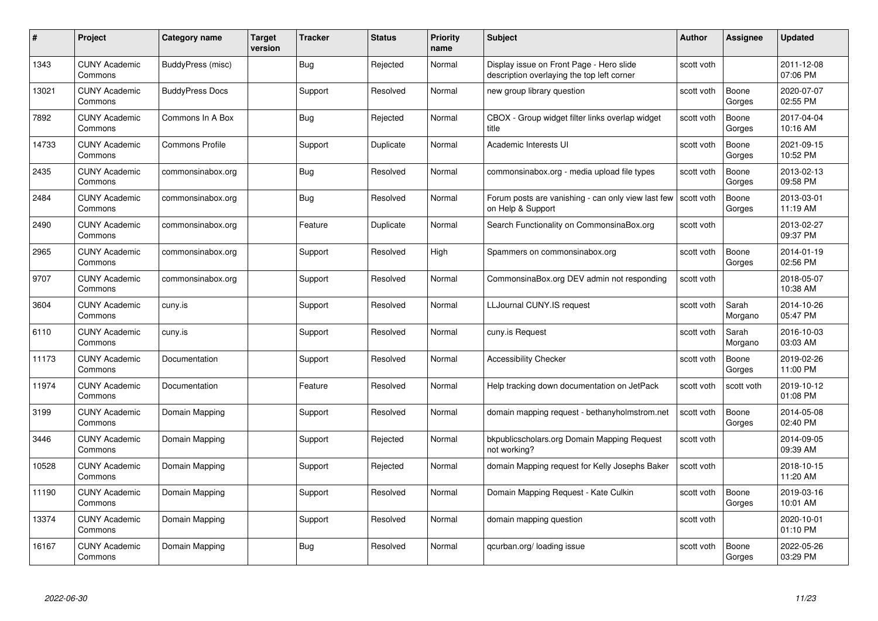| #     | Project                         | Category name          | Target<br>version | <b>Tracker</b> | <b>Status</b> | <b>Priority</b><br>name | <b>Subject</b>                                                                         | Author     | Assignee         | <b>Updated</b>         |
|-------|---------------------------------|------------------------|-------------------|----------------|---------------|-------------------------|----------------------------------------------------------------------------------------|------------|------------------|------------------------|
| 1343  | <b>CUNY Academic</b><br>Commons | BuddyPress (misc)      |                   | <b>Bug</b>     | Rejected      | Normal                  | Display issue on Front Page - Hero slide<br>description overlaying the top left corner | scott voth |                  | 2011-12-08<br>07:06 PM |
| 13021 | <b>CUNY Academic</b><br>Commons | <b>BuddyPress Docs</b> |                   | Support        | Resolved      | Normal                  | new group library question                                                             | scott voth | Boone<br>Gorges  | 2020-07-07<br>02:55 PM |
| 7892  | <b>CUNY Academic</b><br>Commons | Commons In A Box       |                   | Bug            | Rejected      | Normal                  | CBOX - Group widget filter links overlap widget<br>title                               | scott voth | Boone<br>Gorges  | 2017-04-04<br>10:16 AM |
| 14733 | <b>CUNY Academic</b><br>Commons | <b>Commons Profile</b> |                   | Support        | Duplicate     | Normal                  | Academic Interests UI                                                                  | scott voth | Boone<br>Gorges  | 2021-09-15<br>10:52 PM |
| 2435  | <b>CUNY Academic</b><br>Commons | commonsinabox.org      |                   | Bug            | Resolved      | Normal                  | commonsinabox.org - media upload file types                                            | scott voth | Boone<br>Gorges  | 2013-02-13<br>09:58 PM |
| 2484  | <b>CUNY Academic</b><br>Commons | commonsinabox.org      |                   | <b>Bug</b>     | Resolved      | Normal                  | Forum posts are vanishing - can only view last few<br>on Help & Support                | scott voth | Boone<br>Gorges  | 2013-03-01<br>11:19 AM |
| 2490  | <b>CUNY Academic</b><br>Commons | commonsinabox.org      |                   | Feature        | Duplicate     | Normal                  | Search Functionality on CommonsinaBox.org                                              | scott voth |                  | 2013-02-27<br>09:37 PM |
| 2965  | <b>CUNY Academic</b><br>Commons | commonsinabox.org      |                   | Support        | Resolved      | High                    | Spammers on commonsinabox.org                                                          | scott voth | Boone<br>Gorges  | 2014-01-19<br>02:56 PM |
| 9707  | <b>CUNY Academic</b><br>Commons | commonsinabox.org      |                   | Support        | Resolved      | Normal                  | CommonsinaBox.org DEV admin not responding                                             | scott voth |                  | 2018-05-07<br>10:38 AM |
| 3604  | <b>CUNY Academic</b><br>Commons | cuny.is                |                   | Support        | Resolved      | Normal                  | LLJournal CUNY.IS request                                                              | scott voth | Sarah<br>Morgano | 2014-10-26<br>05:47 PM |
| 6110  | <b>CUNY Academic</b><br>Commons | cuny.is                |                   | Support        | Resolved      | Normal                  | cuny.is Request                                                                        | scott voth | Sarah<br>Morgano | 2016-10-03<br>03:03 AM |
| 11173 | <b>CUNY Academic</b><br>Commons | Documentation          |                   | Support        | Resolved      | Normal                  | <b>Accessibility Checker</b>                                                           | scott voth | Boone<br>Gorges  | 2019-02-26<br>11:00 PM |
| 11974 | <b>CUNY Academic</b><br>Commons | Documentation          |                   | Feature        | Resolved      | Normal                  | Help tracking down documentation on JetPack                                            | scott voth | scott voth       | 2019-10-12<br>01:08 PM |
| 3199  | <b>CUNY Academic</b><br>Commons | Domain Mapping         |                   | Support        | Resolved      | Normal                  | domain mapping request - bethanyholmstrom.net                                          | scott voth | Boone<br>Gorges  | 2014-05-08<br>02:40 PM |
| 3446  | <b>CUNY Academic</b><br>Commons | Domain Mapping         |                   | Support        | Rejected      | Normal                  | bkpublicscholars.org Domain Mapping Request<br>not working?                            | scott voth |                  | 2014-09-05<br>09:39 AM |
| 10528 | <b>CUNY Academic</b><br>Commons | Domain Mapping         |                   | Support        | Rejected      | Normal                  | domain Mapping request for Kelly Josephs Baker                                         | scott voth |                  | 2018-10-15<br>11:20 AM |
| 11190 | <b>CUNY Academic</b><br>Commons | Domain Mapping         |                   | Support        | Resolved      | Normal                  | Domain Mapping Request - Kate Culkin                                                   | scott voth | Boone<br>Gorges  | 2019-03-16<br>10:01 AM |
| 13374 | <b>CUNY Academic</b><br>Commons | Domain Mapping         |                   | Support        | Resolved      | Normal                  | domain mapping question                                                                | scott voth |                  | 2020-10-01<br>01:10 PM |
| 16167 | <b>CUNY Academic</b><br>Commons | Domain Mapping         |                   | <b>Bug</b>     | Resolved      | Normal                  | qcurban.org/loading issue                                                              | scott voth | Boone<br>Gorges  | 2022-05-26<br>03:29 PM |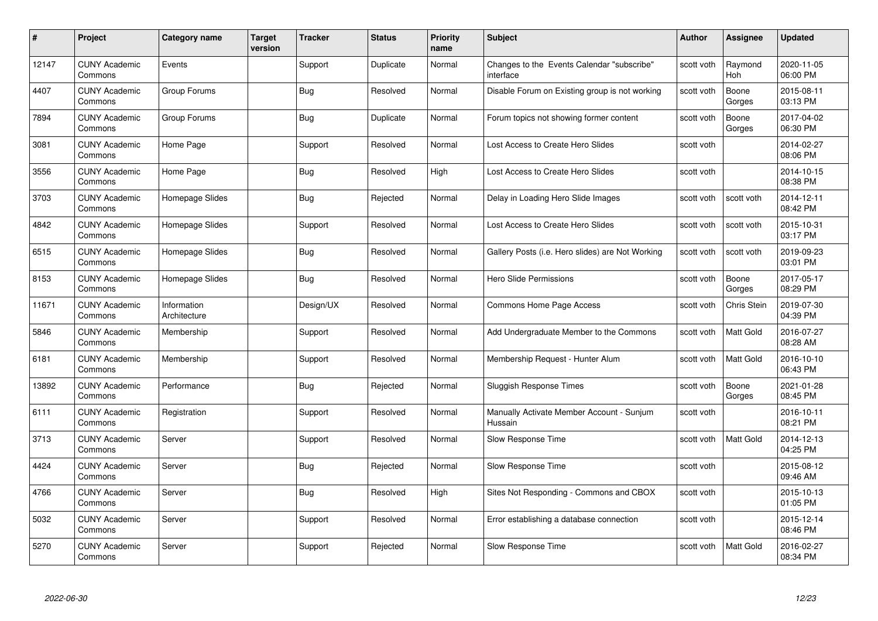| #     | Project                         | <b>Category name</b>        | <b>Target</b><br>version | <b>Tracker</b> | <b>Status</b> | <b>Priority</b><br>name | <b>Subject</b>                                          | <b>Author</b> | Assignee              | <b>Updated</b>         |
|-------|---------------------------------|-----------------------------|--------------------------|----------------|---------------|-------------------------|---------------------------------------------------------|---------------|-----------------------|------------------------|
| 12147 | <b>CUNY Academic</b><br>Commons | Events                      |                          | Support        | Duplicate     | Normal                  | Changes to the Events Calendar "subscribe"<br>interface | scott voth    | Raymond<br><b>Hoh</b> | 2020-11-05<br>06:00 PM |
| 4407  | <b>CUNY Academic</b><br>Commons | Group Forums                |                          | Bug            | Resolved      | Normal                  | Disable Forum on Existing group is not working          | scott voth    | Boone<br>Gorges       | 2015-08-11<br>03:13 PM |
| 7894  | <b>CUNY Academic</b><br>Commons | Group Forums                |                          | Bug            | Duplicate     | Normal                  | Forum topics not showing former content                 | scott voth    | Boone<br>Gorges       | 2017-04-02<br>06:30 PM |
| 3081  | <b>CUNY Academic</b><br>Commons | Home Page                   |                          | Support        | Resolved      | Normal                  | Lost Access to Create Hero Slides                       | scott voth    |                       | 2014-02-27<br>08:06 PM |
| 3556  | <b>CUNY Academic</b><br>Commons | Home Page                   |                          | <b>Bug</b>     | Resolved      | High                    | Lost Access to Create Hero Slides                       | scott voth    |                       | 2014-10-15<br>08:38 PM |
| 3703  | <b>CUNY Academic</b><br>Commons | Homepage Slides             |                          | <b>Bug</b>     | Rejected      | Normal                  | Delay in Loading Hero Slide Images                      | scott voth    | scott voth            | 2014-12-11<br>08:42 PM |
| 4842  | <b>CUNY Academic</b><br>Commons | Homepage Slides             |                          | Support        | Resolved      | Normal                  | Lost Access to Create Hero Slides                       | scott voth    | scott voth            | 2015-10-31<br>03:17 PM |
| 6515  | <b>CUNY Academic</b><br>Commons | Homepage Slides             |                          | Bug            | Resolved      | Normal                  | Gallery Posts (i.e. Hero slides) are Not Working        | scott voth    | scott voth            | 2019-09-23<br>03:01 PM |
| 8153  | <b>CUNY Academic</b><br>Commons | Homepage Slides             |                          | <b>Bug</b>     | Resolved      | Normal                  | Hero Slide Permissions                                  | scott voth    | Boone<br>Gorges       | 2017-05-17<br>08:29 PM |
| 11671 | <b>CUNY Academic</b><br>Commons | Information<br>Architecture |                          | Design/UX      | Resolved      | Normal                  | Commons Home Page Access                                | scott voth    | Chris Stein           | 2019-07-30<br>04:39 PM |
| 5846  | <b>CUNY Academic</b><br>Commons | Membership                  |                          | Support        | Resolved      | Normal                  | Add Undergraduate Member to the Commons                 | scott voth    | Matt Gold             | 2016-07-27<br>08:28 AM |
| 6181  | <b>CUNY Academic</b><br>Commons | Membership                  |                          | Support        | Resolved      | Normal                  | Membership Request - Hunter Alum                        | scott voth    | Matt Gold             | 2016-10-10<br>06:43 PM |
| 13892 | <b>CUNY Academic</b><br>Commons | Performance                 |                          | Bug            | Rejected      | Normal                  | Sluggish Response Times                                 | scott voth    | Boone<br>Gorges       | 2021-01-28<br>08:45 PM |
| 6111  | <b>CUNY Academic</b><br>Commons | Registration                |                          | Support        | Resolved      | Normal                  | Manually Activate Member Account - Sunjum<br>Hussain    | scott voth    |                       | 2016-10-11<br>08:21 PM |
| 3713  | <b>CUNY Academic</b><br>Commons | Server                      |                          | Support        | Resolved      | Normal                  | Slow Response Time                                      | scott voth    | Matt Gold             | 2014-12-13<br>04:25 PM |
| 4424  | <b>CUNY Academic</b><br>Commons | Server                      |                          | <b>Bug</b>     | Rejected      | Normal                  | Slow Response Time                                      | scott voth    |                       | 2015-08-12<br>09:46 AM |
| 4766  | <b>CUNY Academic</b><br>Commons | Server                      |                          | Bug            | Resolved      | High                    | Sites Not Responding - Commons and CBOX                 | scott voth    |                       | 2015-10-13<br>01:05 PM |
| 5032  | <b>CUNY Academic</b><br>Commons | Server                      |                          | Support        | Resolved      | Normal                  | Error establishing a database connection                | scott voth    |                       | 2015-12-14<br>08:46 PM |
| 5270  | CUNY Academic<br>Commons        | Server                      |                          | Support        | Rejected      | Normal                  | Slow Response Time                                      | scott voth    | <b>Matt Gold</b>      | 2016-02-27<br>08:34 PM |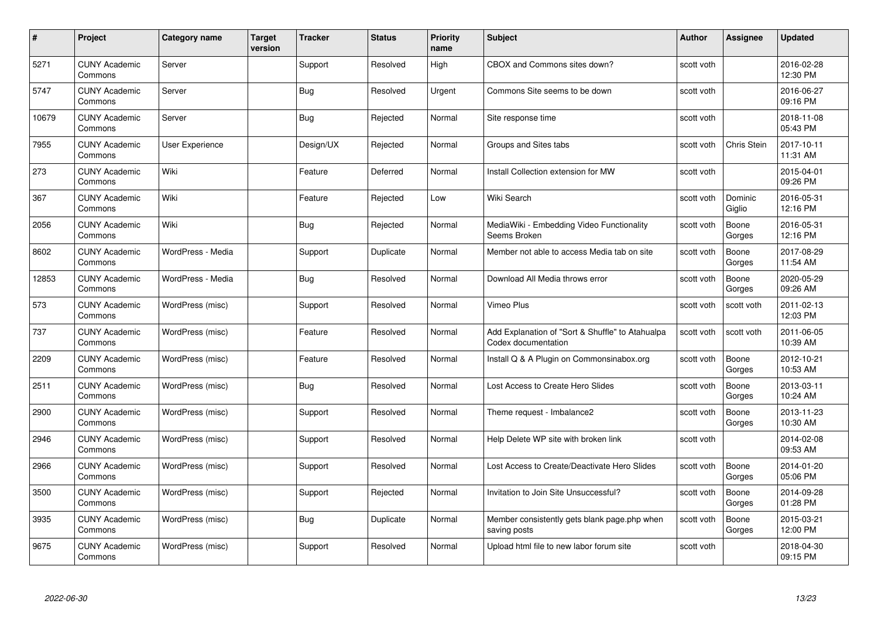| #     | Project                         | <b>Category name</b> | Target<br>version | <b>Tracker</b> | <b>Status</b> | <b>Priority</b><br>name | <b>Subject</b>                                                          | <b>Author</b> | <b>Assignee</b>   | <b>Updated</b>         |
|-------|---------------------------------|----------------------|-------------------|----------------|---------------|-------------------------|-------------------------------------------------------------------------|---------------|-------------------|------------------------|
| 5271  | <b>CUNY Academic</b><br>Commons | Server               |                   | Support        | Resolved      | High                    | CBOX and Commons sites down?                                            | scott voth    |                   | 2016-02-28<br>12:30 PM |
| 5747  | <b>CUNY Academic</b><br>Commons | Server               |                   | Bug            | Resolved      | Urgent                  | Commons Site seems to be down                                           | scott voth    |                   | 2016-06-27<br>09:16 PM |
| 10679 | <b>CUNY Academic</b><br>Commons | Server               |                   | Bug            | Rejected      | Normal                  | Site response time                                                      | scott voth    |                   | 2018-11-08<br>05:43 PM |
| 7955  | <b>CUNY Academic</b><br>Commons | User Experience      |                   | Design/UX      | Rejected      | Normal                  | Groups and Sites tabs                                                   | scott voth    | Chris Stein       | 2017-10-11<br>11:31 AM |
| 273   | <b>CUNY Academic</b><br>Commons | Wiki                 |                   | Feature        | Deferred      | Normal                  | Install Collection extension for MW                                     | scott voth    |                   | 2015-04-01<br>09:26 PM |
| 367   | <b>CUNY Academic</b><br>Commons | Wiki                 |                   | Feature        | Rejected      | Low                     | Wiki Search                                                             | scott voth    | Dominic<br>Giglio | 2016-05-31<br>12:16 PM |
| 2056  | <b>CUNY Academic</b><br>Commons | Wiki                 |                   | Bug            | Rejected      | Normal                  | MediaWiki - Embedding Video Functionality<br>Seems Broken               | scott voth    | Boone<br>Gorges   | 2016-05-31<br>12:16 PM |
| 8602  | <b>CUNY Academic</b><br>Commons | WordPress - Media    |                   | Support        | Duplicate     | Normal                  | Member not able to access Media tab on site                             | scott voth    | Boone<br>Gorges   | 2017-08-29<br>11:54 AM |
| 12853 | <b>CUNY Academic</b><br>Commons | WordPress - Media    |                   | Bug            | Resolved      | Normal                  | Download All Media throws error                                         | scott voth    | Boone<br>Gorges   | 2020-05-29<br>09:26 AM |
| 573   | <b>CUNY Academic</b><br>Commons | WordPress (misc)     |                   | Support        | Resolved      | Normal                  | Vimeo Plus                                                              | scott voth    | scott voth        | 2011-02-13<br>12:03 PM |
| 737   | <b>CUNY Academic</b><br>Commons | WordPress (misc)     |                   | Feature        | Resolved      | Normal                  | Add Explanation of "Sort & Shuffle" to Atahualpa<br>Codex documentation | scott voth    | scott voth        | 2011-06-05<br>10:39 AM |
| 2209  | <b>CUNY Academic</b><br>Commons | WordPress (misc)     |                   | Feature        | Resolved      | Normal                  | Install Q & A Plugin on Commonsinabox.org                               | scott voth    | Boone<br>Gorges   | 2012-10-21<br>10:53 AM |
| 2511  | <b>CUNY Academic</b><br>Commons | WordPress (misc)     |                   | Bug            | Resolved      | Normal                  | Lost Access to Create Hero Slides                                       | scott voth    | Boone<br>Gorges   | 2013-03-11<br>10:24 AM |
| 2900  | <b>CUNY Academic</b><br>Commons | WordPress (misc)     |                   | Support        | Resolved      | Normal                  | Theme request - Imbalance2                                              | scott voth    | Boone<br>Gorges   | 2013-11-23<br>10:30 AM |
| 2946  | <b>CUNY Academic</b><br>Commons | WordPress (misc)     |                   | Support        | Resolved      | Normal                  | Help Delete WP site with broken link                                    | scott voth    |                   | 2014-02-08<br>09:53 AM |
| 2966  | <b>CUNY Academic</b><br>Commons | WordPress (misc)     |                   | Support        | Resolved      | Normal                  | Lost Access to Create/Deactivate Hero Slides                            | scott voth    | Boone<br>Gorges   | 2014-01-20<br>05:06 PM |
| 3500  | <b>CUNY Academic</b><br>Commons | WordPress (misc)     |                   | Support        | Rejected      | Normal                  | Invitation to Join Site Unsuccessful?                                   | scott voth    | Boone<br>Gorges   | 2014-09-28<br>01:28 PM |
| 3935  | <b>CUNY Academic</b><br>Commons | WordPress (misc)     |                   | <b>Bug</b>     | Duplicate     | Normal                  | Member consistently gets blank page.php when<br>saving posts            | scott voth    | Boone<br>Gorges   | 2015-03-21<br>12:00 PM |
| 9675  | <b>CUNY Academic</b><br>Commons | WordPress (misc)     |                   | Support        | Resolved      | Normal                  | Upload html file to new labor forum site                                | scott voth    |                   | 2018-04-30<br>09:15 PM |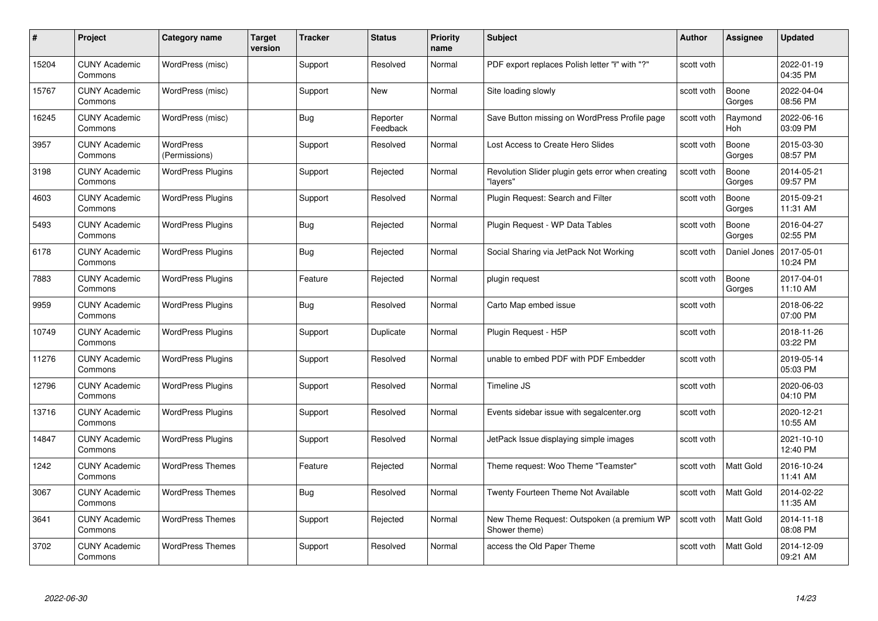| #     | Project                         | Category name                     | Target<br>version | <b>Tracker</b> | <b>Status</b>        | <b>Priority</b><br>name | <b>Subject</b>                                                | Author     | Assignee         | <b>Updated</b>         |
|-------|---------------------------------|-----------------------------------|-------------------|----------------|----------------------|-------------------------|---------------------------------------------------------------|------------|------------------|------------------------|
| 15204 | <b>CUNY Academic</b><br>Commons | WordPress (misc)                  |                   | Support        | Resolved             | Normal                  | PDF export replaces Polish letter "ł" with "?"                | scott voth |                  | 2022-01-19<br>04:35 PM |
| 15767 | <b>CUNY Academic</b><br>Commons | WordPress (misc)                  |                   | Support        | New                  | Normal                  | Site loading slowly                                           | scott voth | Boone<br>Gorges  | 2022-04-04<br>08:56 PM |
| 16245 | <b>CUNY Academic</b><br>Commons | WordPress (misc)                  |                   | <b>Bug</b>     | Reporter<br>Feedback | Normal                  | Save Button missing on WordPress Profile page                 | scott voth | Raymond<br>Hoh   | 2022-06-16<br>03:09 PM |
| 3957  | <b>CUNY Academic</b><br>Commons | <b>WordPress</b><br>(Permissions) |                   | Support        | Resolved             | Normal                  | Lost Access to Create Hero Slides                             | scott voth | Boone<br>Gorges  | 2015-03-30<br>08:57 PM |
| 3198  | <b>CUNY Academic</b><br>Commons | <b>WordPress Plugins</b>          |                   | Support        | Rejected             | Normal                  | Revolution Slider plugin gets error when creating<br>"lavers" | scott voth | Boone<br>Gorges  | 2014-05-21<br>09:57 PM |
| 4603  | <b>CUNY Academic</b><br>Commons | <b>WordPress Plugins</b>          |                   | Support        | Resolved             | Normal                  | Plugin Request: Search and Filter                             | scott voth | Boone<br>Gorges  | 2015-09-21<br>11:31 AM |
| 5493  | <b>CUNY Academic</b><br>Commons | <b>WordPress Plugins</b>          |                   | Bug            | Rejected             | Normal                  | Plugin Request - WP Data Tables                               | scott voth | Boone<br>Gorges  | 2016-04-27<br>02:55 PM |
| 6178  | <b>CUNY Academic</b><br>Commons | <b>WordPress Plugins</b>          |                   | Bug            | Rejected             | Normal                  | Social Sharing via JetPack Not Working                        | scott voth | Daniel Jones     | 2017-05-01<br>10:24 PM |
| 7883  | <b>CUNY Academic</b><br>Commons | <b>WordPress Plugins</b>          |                   | Feature        | Rejected             | Normal                  | plugin request                                                | scott voth | Boone<br>Gorges  | 2017-04-01<br>11:10 AM |
| 9959  | <b>CUNY Academic</b><br>Commons | <b>WordPress Plugins</b>          |                   | <b>Bug</b>     | Resolved             | Normal                  | Carto Map embed issue                                         | scott voth |                  | 2018-06-22<br>07:00 PM |
| 10749 | <b>CUNY Academic</b><br>Commons | <b>WordPress Plugins</b>          |                   | Support        | Duplicate            | Normal                  | Plugin Request - H5P                                          | scott voth |                  | 2018-11-26<br>03:22 PM |
| 11276 | <b>CUNY Academic</b><br>Commons | <b>WordPress Plugins</b>          |                   | Support        | Resolved             | Normal                  | unable to embed PDF with PDF Embedder                         | scott voth |                  | 2019-05-14<br>05:03 PM |
| 12796 | <b>CUNY Academic</b><br>Commons | <b>WordPress Plugins</b>          |                   | Support        | Resolved             | Normal                  | Timeline JS                                                   | scott voth |                  | 2020-06-03<br>04:10 PM |
| 13716 | <b>CUNY Academic</b><br>Commons | <b>WordPress Plugins</b>          |                   | Support        | Resolved             | Normal                  | Events sidebar issue with segalcenter.org                     | scott voth |                  | 2020-12-21<br>10:55 AM |
| 14847 | <b>CUNY Academic</b><br>Commons | <b>WordPress Plugins</b>          |                   | Support        | Resolved             | Normal                  | JetPack Issue displaying simple images                        | scott voth |                  | 2021-10-10<br>12:40 PM |
| 1242  | <b>CUNY Academic</b><br>Commons | <b>WordPress Themes</b>           |                   | Feature        | Rejected             | Normal                  | Theme request: Woo Theme "Teamster"                           | scott voth | Matt Gold        | 2016-10-24<br>11:41 AM |
| 3067  | <b>CUNY Academic</b><br>Commons | <b>WordPress Themes</b>           |                   | Bug            | Resolved             | Normal                  | Twenty Fourteen Theme Not Available                           | scott voth | <b>Matt Gold</b> | 2014-02-22<br>11:35 AM |
| 3641  | <b>CUNY Academic</b><br>Commons | <b>WordPress Themes</b>           |                   | Support        | Rejected             | Normal                  | New Theme Request: Outspoken (a premium WP<br>Shower theme)   | scott voth | Matt Gold        | 2014-11-18<br>08:08 PM |
| 3702  | CUNY Academic<br>Commons        | <b>WordPress Themes</b>           |                   | Support        | Resolved             | Normal                  | access the Old Paper Theme                                    | scott voth | <b>Matt Gold</b> | 2014-12-09<br>09:21 AM |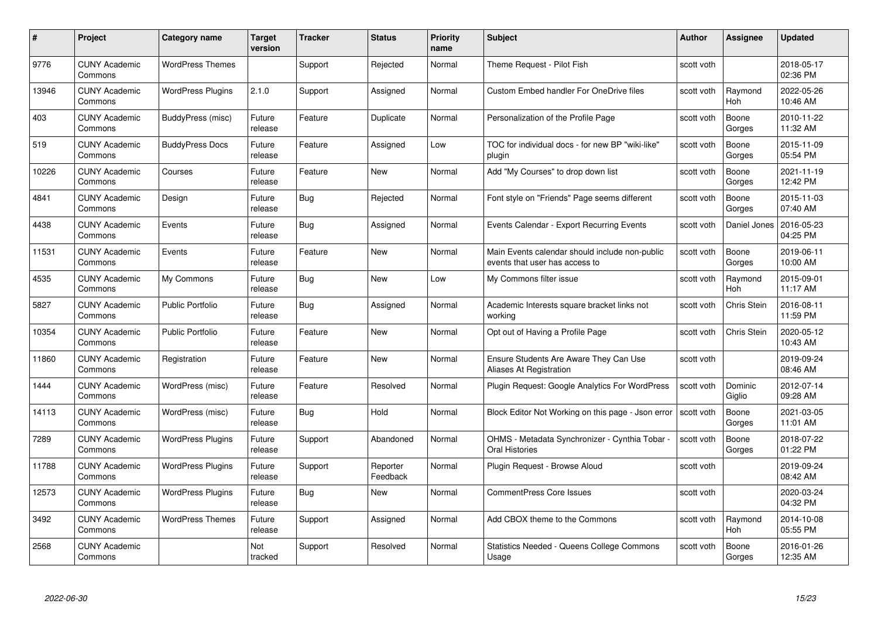| #     | Project                         | <b>Category name</b>     | Target<br>version | <b>Tracker</b> | <b>Status</b>        | <b>Priority</b><br>name | <b>Subject</b>                                                                   | <b>Author</b> | <b>Assignee</b>    | <b>Updated</b>         |
|-------|---------------------------------|--------------------------|-------------------|----------------|----------------------|-------------------------|----------------------------------------------------------------------------------|---------------|--------------------|------------------------|
| 9776  | <b>CUNY Academic</b><br>Commons | <b>WordPress Themes</b>  |                   | Support        | Rejected             | Normal                  | Theme Request - Pilot Fish                                                       | scott voth    |                    | 2018-05-17<br>02:36 PM |
| 13946 | <b>CUNY Academic</b><br>Commons | <b>WordPress Plugins</b> | 2.1.0             | Support        | Assigned             | Normal                  | Custom Embed handler For OneDrive files                                          | scott voth    | Raymond<br>Hoh     | 2022-05-26<br>10:46 AM |
| 403   | <b>CUNY Academic</b><br>Commons | BuddyPress (misc)        | Future<br>release | Feature        | Duplicate            | Normal                  | Personalization of the Profile Page                                              | scott voth    | Boone<br>Gorges    | 2010-11-22<br>11:32 AM |
| 519   | <b>CUNY Academic</b><br>Commons | <b>BuddyPress Docs</b>   | Future<br>release | Feature        | Assigned             | Low                     | TOC for individual docs - for new BP "wiki-like"<br>plugin                       | scott voth    | Boone<br>Gorges    | 2015-11-09<br>05:54 PM |
| 10226 | <b>CUNY Academic</b><br>Commons | Courses                  | Future<br>release | Feature        | New                  | Normal                  | Add "My Courses" to drop down list                                               | scott voth    | Boone<br>Gorges    | 2021-11-19<br>12:42 PM |
| 4841  | <b>CUNY Academic</b><br>Commons | Design                   | Future<br>release | <b>Bug</b>     | Rejected             | Normal                  | Font style on "Friends" Page seems different                                     | scott voth    | Boone<br>Gorges    | 2015-11-03<br>07:40 AM |
| 4438  | <b>CUNY Academic</b><br>Commons | Events                   | Future<br>release | Bug            | Assigned             | Normal                  | Events Calendar - Export Recurring Events                                        | scott voth    | Daniel Jones       | 2016-05-23<br>04:25 PM |
| 11531 | <b>CUNY Academic</b><br>Commons | Events                   | Future<br>release | Feature        | New                  | Normal                  | Main Events calendar should include non-public<br>events that user has access to | scott voth    | Boone<br>Gorges    | 2019-06-11<br>10:00 AM |
| 4535  | <b>CUNY Academic</b><br>Commons | My Commons               | Future<br>release | <b>Bug</b>     | <b>New</b>           | Low                     | My Commons filter issue                                                          | scott voth    | Raymond<br>Hoh     | 2015-09-01<br>11:17 AM |
| 5827  | <b>CUNY Academic</b><br>Commons | <b>Public Portfolio</b>  | Future<br>release | <b>Bug</b>     | Assigned             | Normal                  | Academic Interests square bracket links not<br>working                           | scott voth    | <b>Chris Stein</b> | 2016-08-11<br>11:59 PM |
| 10354 | CUNY Academic<br>Commons        | <b>Public Portfolio</b>  | Future<br>release | Feature        | New                  | Normal                  | Opt out of Having a Profile Page                                                 | scott voth    | Chris Stein        | 2020-05-12<br>10:43 AM |
| 11860 | <b>CUNY Academic</b><br>Commons | Registration             | Future<br>release | Feature        | New                  | Normal                  | Ensure Students Are Aware They Can Use<br>Aliases At Registration                | scott voth    |                    | 2019-09-24<br>08:46 AM |
| 1444  | <b>CUNY Academic</b><br>Commons | WordPress (misc)         | Future<br>release | Feature        | Resolved             | Normal                  | Plugin Request: Google Analytics For WordPress                                   | scott voth    | Dominic<br>Giglio  | 2012-07-14<br>09:28 AM |
| 14113 | <b>CUNY Academic</b><br>Commons | WordPress (misc)         | Future<br>release | Bug            | Hold                 | Normal                  | Block Editor Not Working on this page - Json error                               | scott voth    | Boone<br>Gorges    | 2021-03-05<br>11:01 AM |
| 7289  | <b>CUNY Academic</b><br>Commons | <b>WordPress Plugins</b> | Future<br>release | Support        | Abandoned            | Normal                  | OHMS - Metadata Synchronizer - Cynthia Tobar -<br>Oral Histories                 | scott voth    | Boone<br>Gorges    | 2018-07-22<br>01:22 PM |
| 11788 | <b>CUNY Academic</b><br>Commons | <b>WordPress Plugins</b> | Future<br>release | Support        | Reporter<br>Feedback | Normal                  | Plugin Request - Browse Aloud                                                    | scott voth    |                    | 2019-09-24<br>08:42 AM |
| 12573 | <b>CUNY Academic</b><br>Commons | <b>WordPress Plugins</b> | Future<br>release | <b>Bug</b>     | New                  | Normal                  | <b>CommentPress Core Issues</b>                                                  | scott voth    |                    | 2020-03-24<br>04:32 PM |
| 3492  | <b>CUNY Academic</b><br>Commons | <b>WordPress Themes</b>  | Future<br>release | Support        | Assigned             | Normal                  | Add CBOX theme to the Commons                                                    | scott voth    | Raymond<br>Hoh     | 2014-10-08<br>05:55 PM |
| 2568  | <b>CUNY Academic</b><br>Commons |                          | Not<br>tracked    | Support        | Resolved             | Normal                  | Statistics Needed - Queens College Commons<br>Usage                              | scott voth    | Boone<br>Gorges    | 2016-01-26<br>12:35 AM |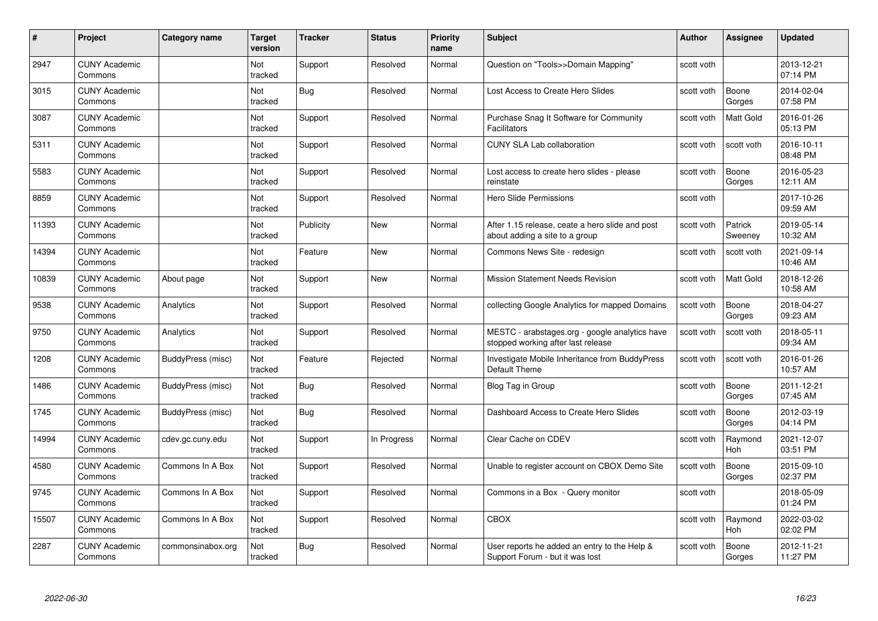| #     | Project                         | Category name     | Target<br>version | <b>Tracker</b> | <b>Status</b> | <b>Priority</b><br>name | <b>Subject</b>                                                                       | <b>Author</b> | <b>Assignee</b>    | <b>Updated</b>         |
|-------|---------------------------------|-------------------|-------------------|----------------|---------------|-------------------------|--------------------------------------------------------------------------------------|---------------|--------------------|------------------------|
| 2947  | <b>CUNY Academic</b><br>Commons |                   | Not<br>tracked    | Support        | Resolved      | Normal                  | Question on "Tools>>Domain Mapping"                                                  | scott voth    |                    | 2013-12-21<br>07:14 PM |
| 3015  | <b>CUNY Academic</b><br>Commons |                   | Not<br>tracked    | Bug            | Resolved      | Normal                  | Lost Access to Create Hero Slides                                                    | scott voth    | Boone<br>Gorges    | 2014-02-04<br>07:58 PM |
| 3087  | <b>CUNY Academic</b><br>Commons |                   | Not<br>tracked    | Support        | Resolved      | Normal                  | Purchase Snag It Software for Community<br><b>Facilitators</b>                       | scott voth    | <b>Matt Gold</b>   | 2016-01-26<br>05:13 PM |
| 5311  | <b>CUNY Academic</b><br>Commons |                   | Not<br>tracked    | Support        | Resolved      | Normal                  | <b>CUNY SLA Lab collaboration</b>                                                    | scott voth    | scott voth         | 2016-10-11<br>08:48 PM |
| 5583  | <b>CUNY Academic</b><br>Commons |                   | Not<br>tracked    | Support        | Resolved      | Normal                  | Lost access to create hero slides - please<br>reinstate                              | scott voth    | Boone<br>Gorges    | 2016-05-23<br>12:11 AM |
| 8859  | <b>CUNY Academic</b><br>Commons |                   | Not<br>tracked    | Support        | Resolved      | Normal                  | Hero Slide Permissions                                                               | scott voth    |                    | 2017-10-26<br>09:59 AM |
| 11393 | <b>CUNY Academic</b><br>Commons |                   | Not<br>tracked    | Publicity      | <b>New</b>    | Normal                  | After 1.15 release, ceate a hero slide and post<br>about adding a site to a group    | scott voth    | Patrick<br>Sweeney | 2019-05-14<br>10:32 AM |
| 14394 | <b>CUNY Academic</b><br>Commons |                   | Not<br>tracked    | Feature        | <b>New</b>    | Normal                  | Commons News Site - redesign                                                         | scott voth    | scott voth         | 2021-09-14<br>10:46 AM |
| 10839 | <b>CUNY Academic</b><br>Commons | About page        | Not<br>tracked    | Support        | New           | Normal                  | <b>Mission Statement Needs Revision</b>                                              | scott voth    | <b>Matt Gold</b>   | 2018-12-26<br>10:58 AM |
| 9538  | <b>CUNY Academic</b><br>Commons | Analytics         | Not<br>tracked    | Support        | Resolved      | Normal                  | collecting Google Analytics for mapped Domains                                       | scott voth    | Boone<br>Gorges    | 2018-04-27<br>09:23 AM |
| 9750  | <b>CUNY Academic</b><br>Commons | Analytics         | Not<br>tracked    | Support        | Resolved      | Normal                  | MESTC - arabstages.org - google analytics have<br>stopped working after last release | scott voth    | scott voth         | 2018-05-11<br>09:34 AM |
| 1208  | <b>CUNY Academic</b><br>Commons | BuddyPress (misc) | Not<br>tracked    | Feature        | Rejected      | Normal                  | Investigate Mobile Inheritance from BuddyPress<br>Default Theme                      | scott voth    | scott voth         | 2016-01-26<br>10:57 AM |
| 1486  | <b>CUNY Academic</b><br>Commons | BuddyPress (misc) | Not<br>tracked    | <b>Bug</b>     | Resolved      | Normal                  | Blog Tag in Group                                                                    | scott voth    | Boone<br>Gorges    | 2011-12-21<br>07:45 AM |
| 1745  | <b>CUNY Academic</b><br>Commons | BuddyPress (misc) | Not<br>tracked    | <b>Bug</b>     | Resolved      | Normal                  | Dashboard Access to Create Hero Slides                                               | scott voth    | Boone<br>Gorges    | 2012-03-19<br>04:14 PM |
| 14994 | <b>CUNY Academic</b><br>Commons | cdev.gc.cuny.edu  | Not<br>tracked    | Support        | In Progress   | Normal                  | Clear Cache on CDEV                                                                  | scott voth    | Raymond<br>Hoh     | 2021-12-07<br>03:51 PM |
| 4580  | <b>CUNY Academic</b><br>Commons | Commons In A Box  | Not<br>tracked    | Support        | Resolved      | Normal                  | Unable to register account on CBOX Demo Site                                         | scott voth    | Boone<br>Gorges    | 2015-09-10<br>02:37 PM |
| 9745  | <b>CUNY Academic</b><br>Commons | Commons In A Box  | Not<br>tracked    | Support        | Resolved      | Normal                  | Commons in a Box - Query monitor                                                     | scott voth    |                    | 2018-05-09<br>01:24 PM |
| 15507 | <b>CUNY Academic</b><br>Commons | Commons In A Box  | Not<br>tracked    | Support        | Resolved      | Normal                  | <b>CBOX</b>                                                                          | scott voth    | Raymond<br>Hoh     | 2022-03-02<br>02:02 PM |
| 2287  | <b>CUNY Academic</b><br>Commons | commonsinabox.org | Not<br>tracked    | <b>Bug</b>     | Resolved      | Normal                  | User reports he added an entry to the Help &<br>Support Forum - but it was lost      | scott voth    | Boone<br>Gorges    | 2012-11-21<br>11:27 PM |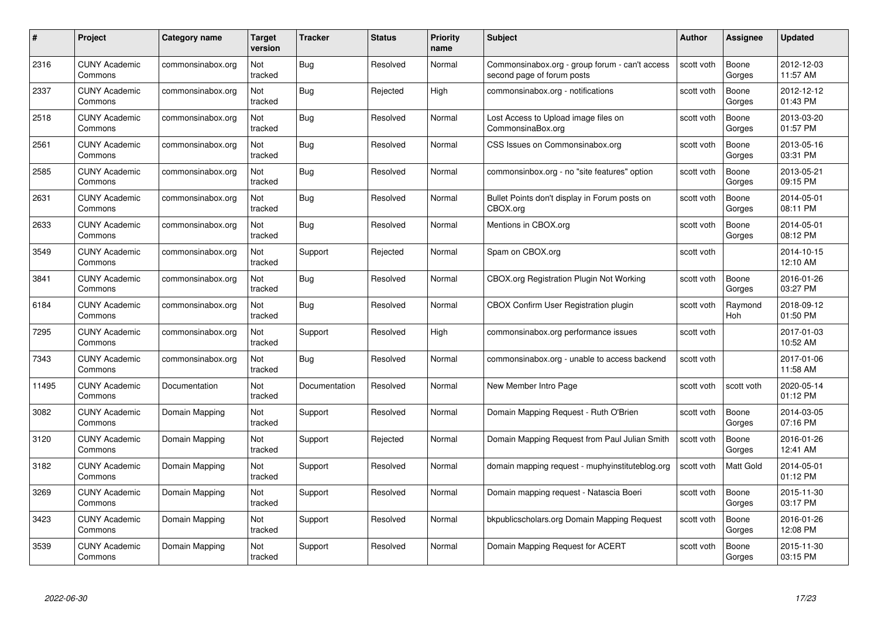| #     | Project                         | <b>Category name</b> | Target<br>version | <b>Tracker</b> | <b>Status</b> | <b>Priority</b><br>name | <b>Subject</b>                                                               | <b>Author</b> | <b>Assignee</b>  | <b>Updated</b>         |
|-------|---------------------------------|----------------------|-------------------|----------------|---------------|-------------------------|------------------------------------------------------------------------------|---------------|------------------|------------------------|
| 2316  | <b>CUNY Academic</b><br>Commons | commonsinabox.org    | Not<br>tracked    | Bug            | Resolved      | Normal                  | Commonsinabox.org - group forum - can't access<br>second page of forum posts | scott voth    | Boone<br>Gorges  | 2012-12-03<br>11:57 AM |
| 2337  | <b>CUNY Academic</b><br>Commons | commonsinabox.org    | Not<br>tracked    | Bug            | Rejected      | High                    | commonsinabox.org - notifications                                            | scott voth    | Boone<br>Gorges  | 2012-12-12<br>01:43 PM |
| 2518  | <b>CUNY Academic</b><br>Commons | commonsinabox.org    | Not<br>tracked    | Bug            | Resolved      | Normal                  | Lost Access to Upload image files on<br>CommonsinaBox.org                    | scott voth    | Boone<br>Gorges  | 2013-03-20<br>01:57 PM |
| 2561  | <b>CUNY Academic</b><br>Commons | commonsinabox.org    | Not<br>tracked    | Bug            | Resolved      | Normal                  | CSS Issues on Commonsinabox.org                                              | scott voth    | Boone<br>Gorges  | 2013-05-16<br>03:31 PM |
| 2585  | CUNY Academic<br>Commons        | commonsinabox.org    | Not<br>tracked    | <b>Bug</b>     | Resolved      | Normal                  | commonsinbox.org - no "site features" option                                 | scott voth    | Boone<br>Gorges  | 2013-05-21<br>09:15 PM |
| 2631  | <b>CUNY Academic</b><br>Commons | commonsinabox.org    | Not<br>tracked    | Bug            | Resolved      | Normal                  | Bullet Points don't display in Forum posts on<br>CBOX.org                    | scott voth    | Boone<br>Gorges  | 2014-05-01<br>08:11 PM |
| 2633  | <b>CUNY Academic</b><br>Commons | commonsinabox.org    | Not<br>tracked    | Bug            | Resolved      | Normal                  | Mentions in CBOX.org                                                         | scott voth    | Boone<br>Gorges  | 2014-05-01<br>08:12 PM |
| 3549  | <b>CUNY Academic</b><br>Commons | commonsinabox.org    | Not<br>tracked    | Support        | Rejected      | Normal                  | Spam on CBOX.org                                                             | scott voth    |                  | 2014-10-15<br>12:10 AM |
| 3841  | <b>CUNY Academic</b><br>Commons | commonsinabox.org    | Not<br>tracked    | <b>Bug</b>     | Resolved      | Normal                  | CBOX.org Registration Plugin Not Working                                     | scott voth    | Boone<br>Gorges  | 2016-01-26<br>03:27 PM |
| 6184  | <b>CUNY Academic</b><br>Commons | commonsinabox.org    | Not<br>tracked    | <b>Bug</b>     | Resolved      | Normal                  | <b>CBOX Confirm User Registration plugin</b>                                 | scott voth    | Raymond<br>Hoh   | 2018-09-12<br>01:50 PM |
| 7295  | <b>CUNY Academic</b><br>Commons | commonsinabox.org    | Not<br>tracked    | Support        | Resolved      | High                    | commonsinabox.org performance issues                                         | scott voth    |                  | 2017-01-03<br>10:52 AM |
| 7343  | <b>CUNY Academic</b><br>Commons | commonsinabox.org    | Not<br>tracked    | <b>Bug</b>     | Resolved      | Normal                  | commonsinabox.org - unable to access backend                                 | scott voth    |                  | 2017-01-06<br>11:58 AM |
| 11495 | <b>CUNY Academic</b><br>Commons | Documentation        | Not<br>tracked    | Documentation  | Resolved      | Normal                  | New Member Intro Page                                                        | scott voth    | scott voth       | 2020-05-14<br>01:12 PM |
| 3082  | <b>CUNY Academic</b><br>Commons | Domain Mapping       | Not<br>tracked    | Support        | Resolved      | Normal                  | Domain Mapping Request - Ruth O'Brien                                        | scott voth    | Boone<br>Gorges  | 2014-03-05<br>07:16 PM |
| 3120  | <b>CUNY Academic</b><br>Commons | Domain Mapping       | Not<br>tracked    | Support        | Rejected      | Normal                  | Domain Mapping Request from Paul Julian Smith                                | scott voth    | Boone<br>Gorges  | 2016-01-26<br>12:41 AM |
| 3182  | <b>CUNY Academic</b><br>Commons | Domain Mapping       | Not<br>tracked    | Support        | Resolved      | Normal                  | domain mapping request - muphyinstituteblog.org                              | scott voth    | <b>Matt Gold</b> | 2014-05-01<br>01:12 PM |
| 3269  | <b>CUNY Academic</b><br>Commons | Domain Mapping       | Not<br>tracked    | Support        | Resolved      | Normal                  | Domain mapping request - Natascia Boeri                                      | scott voth    | Boone<br>Gorges  | 2015-11-30<br>03:17 PM |
| 3423  | <b>CUNY Academic</b><br>Commons | Domain Mapping       | Not<br>tracked    | Support        | Resolved      | Normal                  | bkpublicscholars.org Domain Mapping Request                                  | scott voth    | Boone<br>Gorges  | 2016-01-26<br>12:08 PM |
| 3539  | CUNY Academic<br>Commons        | Domain Mapping       | Not<br>tracked    | Support        | Resolved      | Normal                  | Domain Mapping Request for ACERT                                             | scott voth    | Boone<br>Gorges  | 2015-11-30<br>03:15 PM |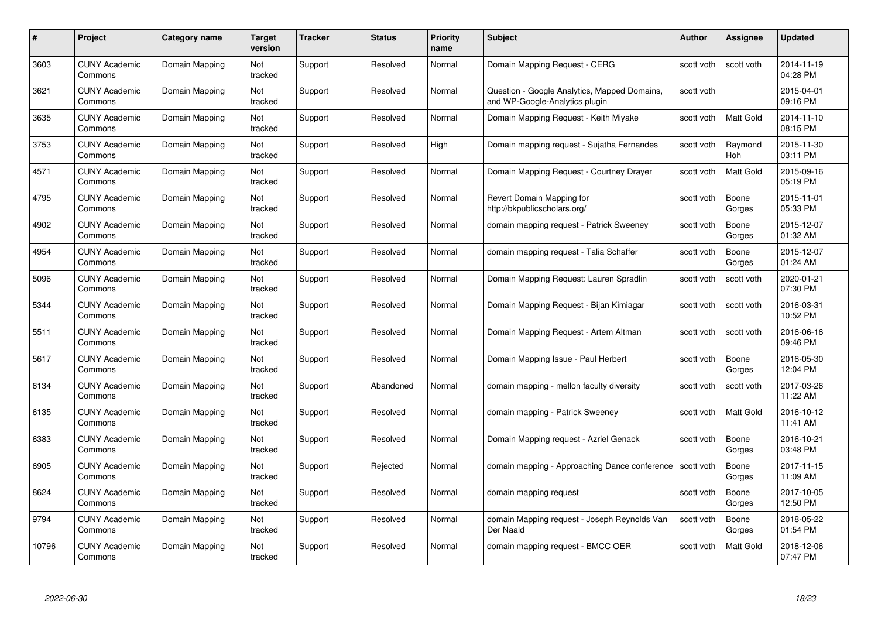| #     | Project                         | Category name  | Target<br>version | <b>Tracker</b> | <b>Status</b> | <b>Priority</b><br>name | <b>Subject</b>                                                                 | <b>Author</b> | <b>Assignee</b>  | <b>Updated</b>         |
|-------|---------------------------------|----------------|-------------------|----------------|---------------|-------------------------|--------------------------------------------------------------------------------|---------------|------------------|------------------------|
| 3603  | <b>CUNY Academic</b><br>Commons | Domain Mapping | Not<br>tracked    | Support        | Resolved      | Normal                  | Domain Mapping Request - CERG                                                  | scott voth    | scott voth       | 2014-11-19<br>04:28 PM |
| 3621  | <b>CUNY Academic</b><br>Commons | Domain Mapping | Not<br>tracked    | Support        | Resolved      | Normal                  | Question - Google Analytics, Mapped Domains,<br>and WP-Google-Analytics plugin | scott voth    |                  | 2015-04-01<br>09:16 PM |
| 3635  | <b>CUNY Academic</b><br>Commons | Domain Mapping | Not<br>tracked    | Support        | Resolved      | Normal                  | Domain Mapping Request - Keith Miyake                                          | scott voth    | Matt Gold        | 2014-11-10<br>08:15 PM |
| 3753  | <b>CUNY Academic</b><br>Commons | Domain Mapping | Not<br>tracked    | Support        | Resolved      | High                    | Domain mapping request - Sujatha Fernandes                                     | scott voth    | Raymond<br>Hoh   | 2015-11-30<br>03:11 PM |
| 4571  | <b>CUNY Academic</b><br>Commons | Domain Mapping | Not<br>tracked    | Support        | Resolved      | Normal                  | Domain Mapping Request - Courtney Drayer                                       | scott voth    | <b>Matt Gold</b> | 2015-09-16<br>05:19 PM |
| 4795  | <b>CUNY Academic</b><br>Commons | Domain Mapping | Not<br>tracked    | Support        | Resolved      | Normal                  | Revert Domain Mapping for<br>http://bkpublicscholars.org/                      | scott voth    | Boone<br>Gorges  | 2015-11-01<br>05:33 PM |
| 4902  | <b>CUNY Academic</b><br>Commons | Domain Mapping | Not<br>tracked    | Support        | Resolved      | Normal                  | domain mapping request - Patrick Sweeney                                       | scott voth    | Boone<br>Gorges  | 2015-12-07<br>01:32 AM |
| 4954  | <b>CUNY Academic</b><br>Commons | Domain Mapping | Not<br>tracked    | Support        | Resolved      | Normal                  | domain mapping request - Talia Schaffer                                        | scott voth    | Boone<br>Gorges  | 2015-12-07<br>01:24 AM |
| 5096  | <b>CUNY Academic</b><br>Commons | Domain Mapping | Not<br>tracked    | Support        | Resolved      | Normal                  | Domain Mapping Request: Lauren Spradlin                                        | scott voth    | scott voth       | 2020-01-21<br>07:30 PM |
| 5344  | <b>CUNY Academic</b><br>Commons | Domain Mapping | Not<br>tracked    | Support        | Resolved      | Normal                  | Domain Mapping Request - Bijan Kimiagar                                        | scott voth    | scott voth       | 2016-03-31<br>10:52 PM |
| 5511  | <b>CUNY Academic</b><br>Commons | Domain Mapping | Not<br>tracked    | Support        | Resolved      | Normal                  | Domain Mapping Request - Artem Altman                                          | scott voth    | scott voth       | 2016-06-16<br>09:46 PM |
| 5617  | <b>CUNY Academic</b><br>Commons | Domain Mapping | Not<br>tracked    | Support        | Resolved      | Normal                  | Domain Mapping Issue - Paul Herbert                                            | scott voth    | Boone<br>Gorges  | 2016-05-30<br>12:04 PM |
| 6134  | <b>CUNY Academic</b><br>Commons | Domain Mapping | Not<br>tracked    | Support        | Abandoned     | Normal                  | domain mapping - mellon faculty diversity                                      | scott voth    | scott voth       | 2017-03-26<br>11:22 AM |
| 6135  | <b>CUNY Academic</b><br>Commons | Domain Mapping | Not<br>tracked    | Support        | Resolved      | Normal                  | domain mapping - Patrick Sweeney                                               | scott voth    | Matt Gold        | 2016-10-12<br>11:41 AM |
| 6383  | <b>CUNY Academic</b><br>Commons | Domain Mapping | Not<br>tracked    | Support        | Resolved      | Normal                  | Domain Mapping request - Azriel Genack                                         | scott voth    | Boone<br>Gorges  | 2016-10-21<br>03:48 PM |
| 6905  | <b>CUNY Academic</b><br>Commons | Domain Mapping | Not<br>tracked    | Support        | Rejected      | Normal                  | domain mapping - Approaching Dance conference                                  | scott voth    | Boone<br>Gorges  | 2017-11-15<br>11:09 AM |
| 8624  | <b>CUNY Academic</b><br>Commons | Domain Mapping | Not<br>tracked    | Support        | Resolved      | Normal                  | domain mapping request                                                         | scott voth    | Boone<br>Gorges  | 2017-10-05<br>12:50 PM |
| 9794  | <b>CUNY Academic</b><br>Commons | Domain Mapping | Not<br>tracked    | Support        | Resolved      | Normal                  | domain Mapping request - Joseph Reynolds Van<br>Der Naald                      | scott voth    | Boone<br>Gorges  | 2018-05-22<br>01:54 PM |
| 10796 | CUNY Academic<br>Commons        | Domain Mapping | Not<br>tracked    | Support        | Resolved      | Normal                  | domain mapping request - BMCC OER                                              | scott voth    | <b>Matt Gold</b> | 2018-12-06<br>07:47 PM |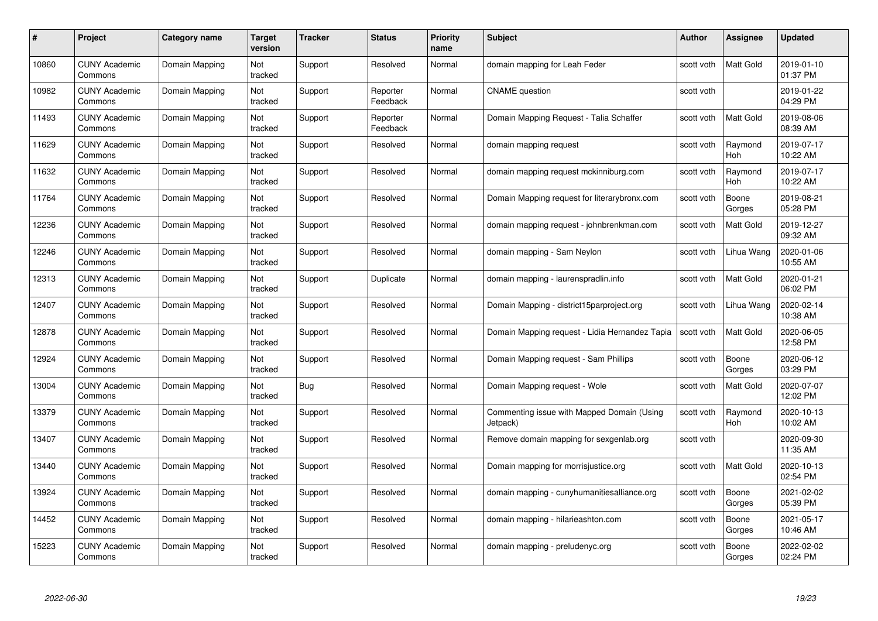| #     | Project                         | <b>Category name</b> | Target<br>version | <b>Tracker</b> | <b>Status</b>        | <b>Priority</b><br>name | <b>Subject</b>                                         | <b>Author</b> | <b>Assignee</b>  | <b>Updated</b>         |
|-------|---------------------------------|----------------------|-------------------|----------------|----------------------|-------------------------|--------------------------------------------------------|---------------|------------------|------------------------|
| 10860 | <b>CUNY Academic</b><br>Commons | Domain Mapping       | Not<br>tracked    | Support        | Resolved             | Normal                  | domain mapping for Leah Feder                          | scott voth    | <b>Matt Gold</b> | 2019-01-10<br>01:37 PM |
| 10982 | <b>CUNY Academic</b><br>Commons | Domain Mapping       | Not<br>tracked    | Support        | Reporter<br>Feedback | Normal                  | <b>CNAME</b> question                                  | scott voth    |                  | 2019-01-22<br>04:29 PM |
| 11493 | <b>CUNY Academic</b><br>Commons | Domain Mapping       | Not<br>tracked    | Support        | Reporter<br>Feedback | Normal                  | Domain Mapping Request - Talia Schaffer                | scott voth    | <b>Matt Gold</b> | 2019-08-06<br>08:39 AM |
| 11629 | <b>CUNY Academic</b><br>Commons | Domain Mapping       | Not<br>tracked    | Support        | Resolved             | Normal                  | domain mapping request                                 | scott voth    | Raymond<br>Hoh   | 2019-07-17<br>10:22 AM |
| 11632 | CUNY Academic<br>Commons        | Domain Mapping       | Not<br>tracked    | Support        | Resolved             | Normal                  | domain mapping request mckinniburg.com                 | scott voth    | Raymond<br>Hoh   | 2019-07-17<br>10:22 AM |
| 11764 | <b>CUNY Academic</b><br>Commons | Domain Mapping       | Not<br>tracked    | Support        | Resolved             | Normal                  | Domain Mapping request for literarybronx.com           | scott voth    | Boone<br>Gorges  | 2019-08-21<br>05:28 PM |
| 12236 | <b>CUNY Academic</b><br>Commons | Domain Mapping       | Not<br>tracked    | Support        | Resolved             | Normal                  | domain mapping request - johnbrenkman.com              | scott voth    | Matt Gold        | 2019-12-27<br>09:32 AM |
| 12246 | <b>CUNY Academic</b><br>Commons | Domain Mapping       | Not<br>tracked    | Support        | Resolved             | Normal                  | domain mapping - Sam Neylon                            | scott voth    | Lihua Wang       | 2020-01-06<br>10:55 AM |
| 12313 | <b>CUNY Academic</b><br>Commons | Domain Mapping       | Not<br>tracked    | Support        | Duplicate            | Normal                  | domain mapping - laurenspradlin.info                   | scott voth    | Matt Gold        | 2020-01-21<br>06:02 PM |
| 12407 | <b>CUNY Academic</b><br>Commons | Domain Mapping       | Not<br>tracked    | Support        | Resolved             | Normal                  | Domain Mapping - district15parproject.org              | scott voth    | Lihua Wang       | 2020-02-14<br>10:38 AM |
| 12878 | CUNY Academic<br>Commons        | Domain Mapping       | Not<br>tracked    | Support        | Resolved             | Normal                  | Domain Mapping request - Lidia Hernandez Tapia         | scott voth    | Matt Gold        | 2020-06-05<br>12:58 PM |
| 2924  | <b>CUNY Academic</b><br>Commons | Domain Mapping       | Not<br>tracked    | Support        | Resolved             | Normal                  | Domain Mapping request - Sam Phillips                  | scott voth    | Boone<br>Gorges  | 2020-06-12<br>03:29 PM |
| 13004 | <b>CUNY Academic</b><br>Commons | Domain Mapping       | Not<br>tracked    | Bug            | Resolved             | Normal                  | Domain Mapping request - Wole                          | scott voth    | Matt Gold        | 2020-07-07<br>12:02 PM |
| 13379 | <b>CUNY Academic</b><br>Commons | Domain Mapping       | Not<br>tracked    | Support        | Resolved             | Normal                  | Commenting issue with Mapped Domain (Using<br>Jetpack) | scott voth    | Raymond<br>Hoh   | 2020-10-13<br>10:02 AM |
| 13407 | <b>CUNY Academic</b><br>Commons | Domain Mapping       | Not<br>tracked    | Support        | Resolved             | Normal                  | Remove domain mapping for sexgenlab.org                | scott voth    |                  | 2020-09-30<br>11:35 AM |
| 13440 | <b>CUNY Academic</b><br>Commons | Domain Mapping       | Not<br>tracked    | Support        | Resolved             | Normal                  | Domain mapping for morrisjustice.org                   | scott voth    | Matt Gold        | 2020-10-13<br>02:54 PM |
| 13924 | <b>CUNY Academic</b><br>Commons | Domain Mapping       | Not<br>tracked    | Support        | Resolved             | Normal                  | domain mapping - cunyhumanitiesalliance.org            | scott voth    | Boone<br>Gorges  | 2021-02-02<br>05:39 PM |
| 14452 | <b>CUNY Academic</b><br>Commons | Domain Mapping       | Not<br>tracked    | Support        | Resolved             | Normal                  | domain mapping - hilarieashton.com                     | scott voth    | Boone<br>Gorges  | 2021-05-17<br>10:46 AM |
| 15223 | CUNY Academic<br>Commons        | Domain Mapping       | Not<br>tracked    | Support        | Resolved             | Normal                  | domain mapping - preludenyc.org                        | scott voth    | Boone<br>Gorges  | 2022-02-02<br>02:24 PM |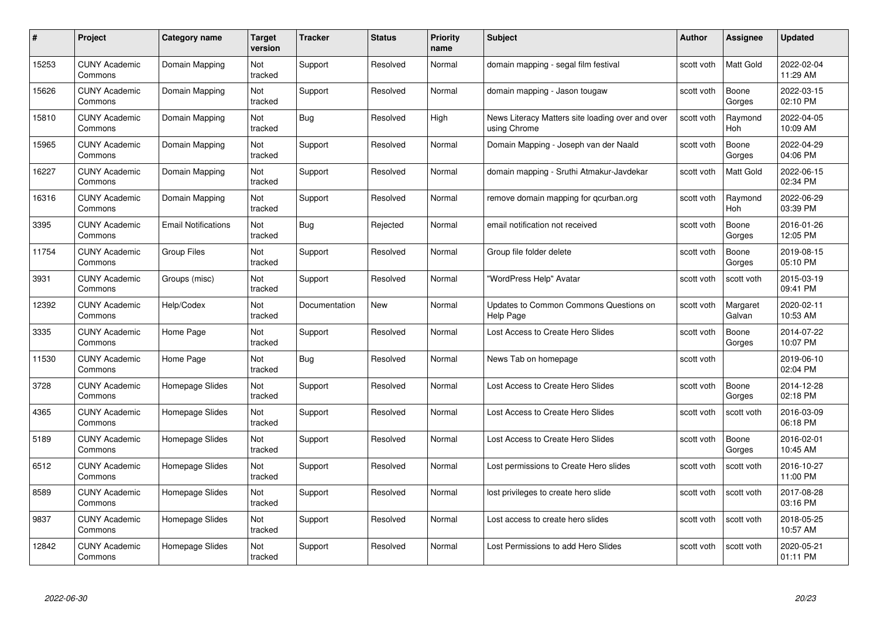| #     | Project                         | <b>Category name</b>       | Target<br>version | <b>Tracker</b> | <b>Status</b> | <b>Priority</b><br>name | <b>Subject</b>                                                   | <b>Author</b> | <b>Assignee</b>    | <b>Updated</b>         |
|-------|---------------------------------|----------------------------|-------------------|----------------|---------------|-------------------------|------------------------------------------------------------------|---------------|--------------------|------------------------|
| 15253 | <b>CUNY Academic</b><br>Commons | Domain Mapping             | Not<br>tracked    | Support        | Resolved      | Normal                  | domain mapping - segal film festival                             | scott voth    | Matt Gold          | 2022-02-04<br>11:29 AM |
| 15626 | <b>CUNY Academic</b><br>Commons | Domain Mapping             | Not<br>tracked    | Support        | Resolved      | Normal                  | domain mapping - Jason tougaw                                    | scott voth    | Boone<br>Gorges    | 2022-03-15<br>02:10 PM |
| 15810 | <b>CUNY Academic</b><br>Commons | Domain Mapping             | Not<br>tracked    | <b>Bug</b>     | Resolved      | High                    | News Literacy Matters site loading over and over<br>using Chrome | scott voth    | Raymond<br>Hoh     | 2022-04-05<br>10:09 AM |
| 15965 | <b>CUNY Academic</b><br>Commons | Domain Mapping             | Not<br>tracked    | Support        | Resolved      | Normal                  | Domain Mapping - Joseph van der Naald                            | scott voth    | Boone<br>Gorges    | 2022-04-29<br>04:06 PM |
| 16227 | <b>CUNY Academic</b><br>Commons | Domain Mapping             | Not<br>tracked    | Support        | Resolved      | Normal                  | domain mapping - Sruthi Atmakur-Javdekar                         | scott voth    | <b>Matt Gold</b>   | 2022-06-15<br>02:34 PM |
| 16316 | <b>CUNY Academic</b><br>Commons | Domain Mapping             | Not<br>tracked    | Support        | Resolved      | Normal                  | remove domain mapping for qcurban.org                            | scott voth    | Raymond<br>Hoh     | 2022-06-29<br>03:39 PM |
| 3395  | <b>CUNY Academic</b><br>Commons | <b>Email Notifications</b> | Not<br>tracked    | Bug            | Rejected      | Normal                  | email notification not received                                  | scott voth    | Boone<br>Gorges    | 2016-01-26<br>12:05 PM |
| 11754 | <b>CUNY Academic</b><br>Commons | <b>Group Files</b>         | Not<br>tracked    | Support        | Resolved      | Normal                  | Group file folder delete                                         | scott voth    | Boone<br>Gorges    | 2019-08-15<br>05:10 PM |
| 3931  | <b>CUNY Academic</b><br>Commons | Groups (misc)              | Not<br>tracked    | Support        | Resolved      | Normal                  | "WordPress Help" Avatar                                          | scott voth    | scott voth         | 2015-03-19<br>09:41 PM |
| 12392 | <b>CUNY Academic</b><br>Commons | Help/Codex                 | Not<br>tracked    | Documentation  | New           | Normal                  | Updates to Common Commons Questions on<br>Help Page              | scott voth    | Margaret<br>Galvan | 2020-02-11<br>10:53 AM |
| 3335  | CUNY Academic<br>Commons        | Home Page                  | Not<br>tracked    | Support        | Resolved      | Normal                  | Lost Access to Create Hero Slides                                | scott voth    | Boone<br>Gorges    | 2014-07-22<br>10:07 PM |
| 11530 | <b>CUNY Academic</b><br>Commons | Home Page                  | Not<br>tracked    | <b>Bug</b>     | Resolved      | Normal                  | News Tab on homepage                                             | scott voth    |                    | 2019-06-10<br>02:04 PM |
| 3728  | <b>CUNY Academic</b><br>Commons | Homepage Slides            | Not<br>tracked    | Support        | Resolved      | Normal                  | Lost Access to Create Hero Slides                                | scott voth    | Boone<br>Gorges    | 2014-12-28<br>02:18 PM |
| 4365  | <b>CUNY Academic</b><br>Commons | Homepage Slides            | Not<br>tracked    | Support        | Resolved      | Normal                  | Lost Access to Create Hero Slides                                | scott voth    | scott voth         | 2016-03-09<br>06:18 PM |
| 5189  | <b>CUNY Academic</b><br>Commons | Homepage Slides            | Not<br>tracked    | Support        | Resolved      | Normal                  | Lost Access to Create Hero Slides                                | scott voth    | Boone<br>Gorges    | 2016-02-01<br>10:45 AM |
| 6512  | <b>CUNY Academic</b><br>Commons | Homepage Slides            | Not<br>tracked    | Support        | Resolved      | Normal                  | Lost permissions to Create Hero slides                           | scott voth    | scott voth         | 2016-10-27<br>11:00 PM |
| 8589  | <b>CUNY Academic</b><br>Commons | Homepage Slides            | Not<br>tracked    | Support        | Resolved      | Normal                  | lost privileges to create hero slide                             | scott voth    | scott voth         | 2017-08-28<br>03:16 PM |
| 9837  | <b>CUNY Academic</b><br>Commons | Homepage Slides            | Not<br>tracked    | Support        | Resolved      | Normal                  | Lost access to create hero slides                                | scott voth    | scott voth         | 2018-05-25<br>10:57 AM |
| 12842 | CUNY Academic<br>Commons        | Homepage Slides            | Not<br>tracked    | Support        | Resolved      | Normal                  | Lost Permissions to add Hero Slides                              | scott voth    | scott voth         | 2020-05-21<br>01:11 PM |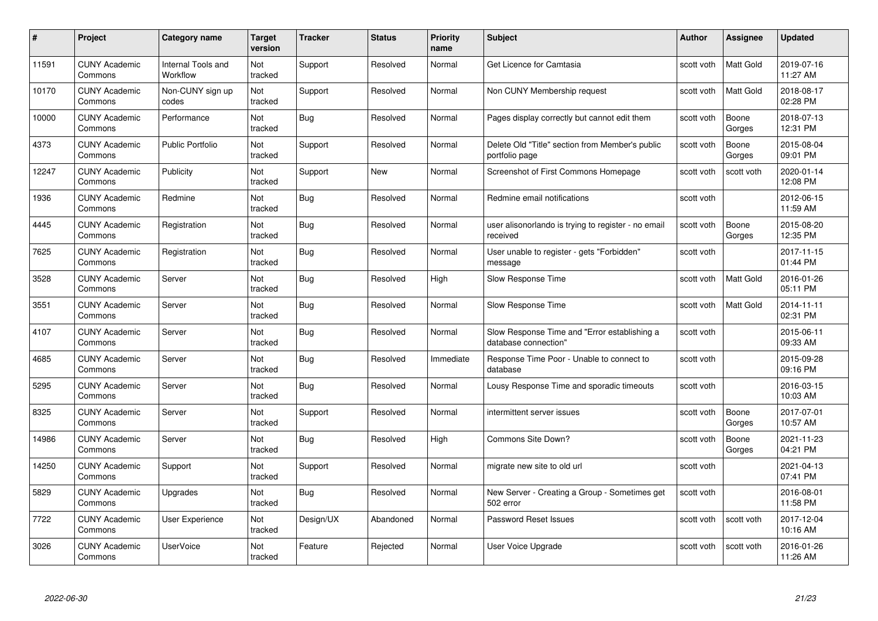| #     | Project                         | <b>Category name</b>           | Target<br>version | <b>Tracker</b> | <b>Status</b> | <b>Priority</b><br>name | <b>Subject</b>                                                       | <b>Author</b> | <b>Assignee</b>  | <b>Updated</b>         |
|-------|---------------------------------|--------------------------------|-------------------|----------------|---------------|-------------------------|----------------------------------------------------------------------|---------------|------------------|------------------------|
| 11591 | <b>CUNY Academic</b><br>Commons | Internal Tools and<br>Workflow | Not<br>tracked    | Support        | Resolved      | Normal                  | Get Licence for Camtasia                                             | scott voth    | <b>Matt Gold</b> | 2019-07-16<br>11:27 AM |
| 10170 | <b>CUNY Academic</b><br>Commons | Non-CUNY sign up<br>codes      | Not<br>tracked    | Support        | Resolved      | Normal                  | Non CUNY Membership request                                          | scott voth    | <b>Matt Gold</b> | 2018-08-17<br>02:28 PM |
| 10000 | <b>CUNY Academic</b><br>Commons | Performance                    | Not<br>tracked    | <b>Bug</b>     | Resolved      | Normal                  | Pages display correctly but cannot edit them                         | scott voth    | Boone<br>Gorges  | 2018-07-13<br>12:31 PM |
| 4373  | <b>CUNY Academic</b><br>Commons | Public Portfolio               | Not<br>tracked    | Support        | Resolved      | Normal                  | Delete Old "Title" section from Member's public<br>portfolio page    | scott voth    | Boone<br>Gorges  | 2015-08-04<br>09:01 PM |
| 12247 | <b>CUNY Academic</b><br>Commons | Publicity                      | Not<br>tracked    | Support        | New           | Normal                  | Screenshot of First Commons Homepage                                 | scott voth    | scott voth       | 2020-01-14<br>12:08 PM |
| 1936  | <b>CUNY Academic</b><br>Commons | Redmine                        | Not<br>tracked    | Bug            | Resolved      | Normal                  | Redmine email notifications                                          | scott voth    |                  | 2012-06-15<br>11:59 AM |
| 4445  | <b>CUNY Academic</b><br>Commons | Registration                   | Not<br>tracked    | Bug            | Resolved      | Normal                  | user alisonorlando is trying to register - no email<br>received      | scott voth    | Boone<br>Gorges  | 2015-08-20<br>12:35 PM |
| 7625  | <b>CUNY Academic</b><br>Commons | Registration                   | Not<br>tracked    | <b>Bug</b>     | Resolved      | Normal                  | User unable to register - gets "Forbidden"<br>message                | scott voth    |                  | 2017-11-15<br>01:44 PM |
| 3528  | <b>CUNY Academic</b><br>Commons | Server                         | Not<br>tracked    | Bug            | Resolved      | High                    | Slow Response Time                                                   | scott voth    | <b>Matt Gold</b> | 2016-01-26<br>05:11 PM |
| 3551  | <b>CUNY Academic</b><br>Commons | Server                         | Not<br>tracked    | Bug            | Resolved      | Normal                  | Slow Response Time                                                   | scott voth    | Matt Gold        | 2014-11-11<br>02:31 PM |
| 4107  | CUNY Academic<br>Commons        | Server                         | Not<br>tracked    | Bug            | Resolved      | Normal                  | Slow Response Time and "Error establishing a<br>database connection" | scott voth    |                  | 2015-06-11<br>09:33 AM |
| 4685  | <b>CUNY Academic</b><br>Commons | Server                         | Not<br>tracked    | <b>Bug</b>     | Resolved      | Immediate               | Response Time Poor - Unable to connect to<br>database                | scott voth    |                  | 2015-09-28<br>09:16 PM |
| 5295  | <b>CUNY Academic</b><br>Commons | Server                         | Not<br>tracked    | <b>Bug</b>     | Resolved      | Normal                  | Lousy Response Time and sporadic timeouts                            | scott voth    |                  | 2016-03-15<br>10:03 AM |
| 8325  | <b>CUNY Academic</b><br>Commons | Server                         | Not<br>tracked    | Support        | Resolved      | Normal                  | intermittent server issues                                           | scott voth    | Boone<br>Gorges  | 2017-07-01<br>10:57 AM |
| 14986 | <b>CUNY Academic</b><br>Commons | Server                         | Not<br>tracked    | Bug            | Resolved      | High                    | Commons Site Down?                                                   | scott voth    | Boone<br>Gorges  | 2021-11-23<br>04:21 PM |
| 14250 | <b>CUNY Academic</b><br>Commons | Support                        | Not<br>tracked    | Support        | Resolved      | Normal                  | migrate new site to old url                                          | scott voth    |                  | 2021-04-13<br>07:41 PM |
| 5829  | <b>CUNY Academic</b><br>Commons | Upgrades                       | Not<br>tracked    | <b>Bug</b>     | Resolved      | Normal                  | New Server - Creating a Group - Sometimes get<br>502 error           | scott voth    |                  | 2016-08-01<br>11:58 PM |
| 7722  | <b>CUNY Academic</b><br>Commons | <b>User Experience</b>         | Not<br>tracked    | Design/UX      | Abandoned     | Normal                  | Password Reset Issues                                                | scott voth    | scott voth       | 2017-12-04<br>10:16 AM |
| 3026  | CUNY Academic<br>Commons        | UserVoice                      | Not<br>tracked    | Feature        | Rejected      | Normal                  | User Voice Upgrade                                                   | scott voth    | scott voth       | 2016-01-26<br>11:26 AM |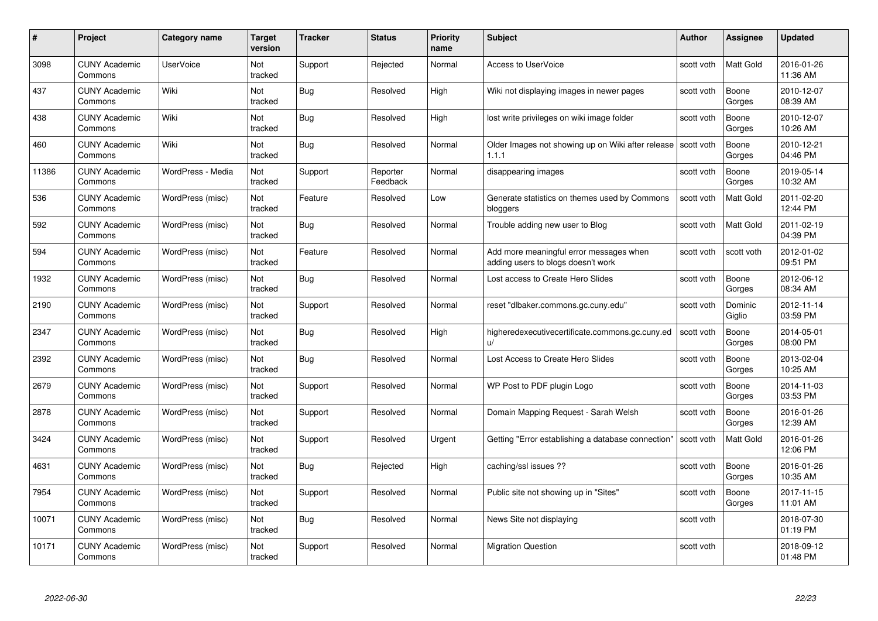| #     | Project                         | <b>Category name</b> | Target<br>version | <b>Tracker</b> | <b>Status</b>        | <b>Priority</b><br>name | <b>Subject</b>                                                                | Author     | <b>Assignee</b>   | <b>Updated</b>         |
|-------|---------------------------------|----------------------|-------------------|----------------|----------------------|-------------------------|-------------------------------------------------------------------------------|------------|-------------------|------------------------|
| 3098  | <b>CUNY Academic</b><br>Commons | <b>UserVoice</b>     | Not<br>tracked    | Support        | Rejected             | Normal                  | <b>Access to UserVoice</b>                                                    | scott voth | Matt Gold         | 2016-01-26<br>11:36 AM |
| 437   | <b>CUNY Academic</b><br>Commons | Wiki                 | Not<br>tracked    | Bug            | Resolved             | High                    | Wiki not displaying images in newer pages                                     | scott voth | Boone<br>Gorges   | 2010-12-07<br>08:39 AM |
| 438   | <b>CUNY Academic</b><br>Commons | Wiki                 | Not<br>tracked    | <b>Bug</b>     | Resolved             | High                    | lost write privileges on wiki image folder                                    | scott voth | Boone<br>Gorges   | 2010-12-07<br>10:26 AM |
| 460   | <b>CUNY Academic</b><br>Commons | Wiki                 | Not<br>tracked    | <b>Bug</b>     | Resolved             | Normal                  | Older Images not showing up on Wiki after release   scott voth<br>1.1.1       |            | Boone<br>Gorges   | 2010-12-21<br>04:46 PM |
| 11386 | <b>CUNY Academic</b><br>Commons | WordPress - Media    | Not<br>tracked    | Support        | Reporter<br>Feedback | Normal                  | disappearing images                                                           | scott voth | Boone<br>Gorges   | 2019-05-14<br>10:32 AM |
| 536   | <b>CUNY Academic</b><br>Commons | WordPress (misc)     | Not<br>tracked    | Feature        | Resolved             | Low                     | Generate statistics on themes used by Commons<br>bloggers                     | scott voth | Matt Gold         | 2011-02-20<br>12:44 PM |
| 592   | <b>CUNY Academic</b><br>Commons | WordPress (misc)     | Not<br>tracked    | <b>Bug</b>     | Resolved             | Normal                  | Trouble adding new user to Blog                                               | scott voth | Matt Gold         | 2011-02-19<br>04:39 PM |
| 594   | <b>CUNY Academic</b><br>Commons | WordPress (misc)     | Not<br>tracked    | Feature        | Resolved             | Normal                  | Add more meaningful error messages when<br>adding users to blogs doesn't work | scott voth | scott voth        | 2012-01-02<br>09:51 PM |
| 1932  | <b>CUNY Academic</b><br>Commons | WordPress (misc)     | Not<br>tracked    | Bug            | Resolved             | Normal                  | Lost access to Create Hero Slides                                             | scott voth | Boone<br>Gorges   | 2012-06-12<br>08:34 AM |
| 2190  | <b>CUNY Academic</b><br>Commons | WordPress (misc)     | Not<br>tracked    | Support        | Resolved             | Normal                  | reset "dlbaker.commons.gc.cuny.edu"                                           | scott voth | Dominic<br>Giglio | 2012-11-14<br>03:59 PM |
| 2347  | <b>CUNY Academic</b><br>Commons | WordPress (misc)     | Not<br>tracked    | Bug            | Resolved             | High                    | higheredexecutivecertificate.commons.gc.cuny.ed<br>$\mathsf{u}/$              | scott voth | Boone<br>Gorges   | 2014-05-01<br>08:00 PM |
| 2392  | <b>CUNY Academic</b><br>Commons | WordPress (misc)     | Not<br>tracked    | Bug            | Resolved             | Normal                  | Lost Access to Create Hero Slides                                             | scott voth | Boone<br>Gorges   | 2013-02-04<br>10:25 AM |
| 2679  | <b>CUNY Academic</b><br>Commons | WordPress (misc)     | Not<br>tracked    | Support        | Resolved             | Normal                  | WP Post to PDF plugin Logo                                                    | scott voth | Boone<br>Gorges   | 2014-11-03<br>03:53 PM |
| 2878  | <b>CUNY Academic</b><br>Commons | WordPress (misc)     | Not<br>tracked    | Support        | Resolved             | Normal                  | Domain Mapping Request - Sarah Welsh                                          | scott voth | Boone<br>Gorges   | 2016-01-26<br>12:39 AM |
| 3424  | <b>CUNY Academic</b><br>Commons | WordPress (misc)     | Not<br>tracked    | Support        | Resolved             | Urgent                  | Getting "Error establishing a database connection"                            | scott voth | Matt Gold         | 2016-01-26<br>12:06 PM |
| 4631  | <b>CUNY Academic</b><br>Commons | WordPress (misc)     | Not<br>tracked    | <b>Bug</b>     | Rejected             | High                    | caching/ssl issues ??                                                         | scott voth | Boone<br>Gorges   | 2016-01-26<br>10:35 AM |
| 7954  | <b>CUNY Academic</b><br>Commons | WordPress (misc)     | Not<br>tracked    | Support        | Resolved             | Normal                  | Public site not showing up in "Sites"                                         | scott voth | Boone<br>Gorges   | 2017-11-15<br>11:01 AM |
| 10071 | <b>CUNY Academic</b><br>Commons | WordPress (misc)     | Not<br>tracked    | <b>Bug</b>     | Resolved             | Normal                  | News Site not displaying                                                      | scott voth |                   | 2018-07-30<br>01:19 PM |
| 10171 | <b>CUNY Academic</b><br>Commons | WordPress (misc)     | Not<br>tracked    | Support        | Resolved             | Normal                  | <b>Migration Question</b>                                                     | scott voth |                   | 2018-09-12<br>01:48 PM |